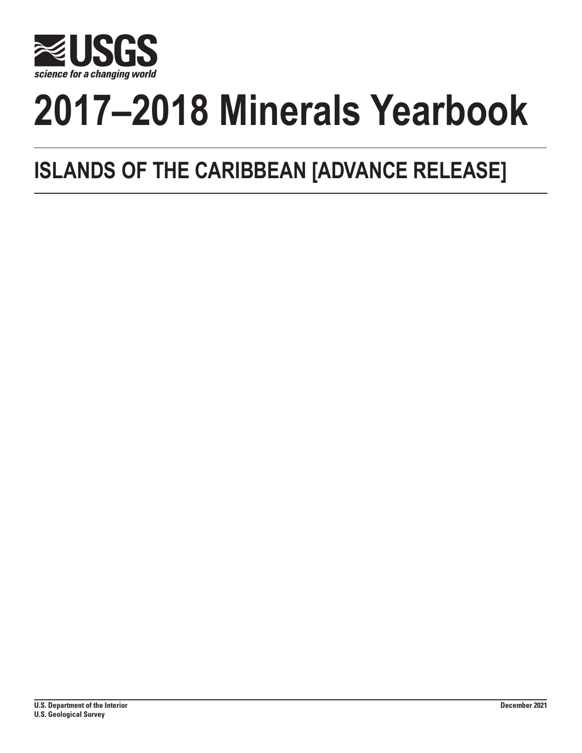

# **2017–2018 Minerals Yearbook**

## **ISLANDS OF THE CARIBBEAN [ADVANCE RELEASE]**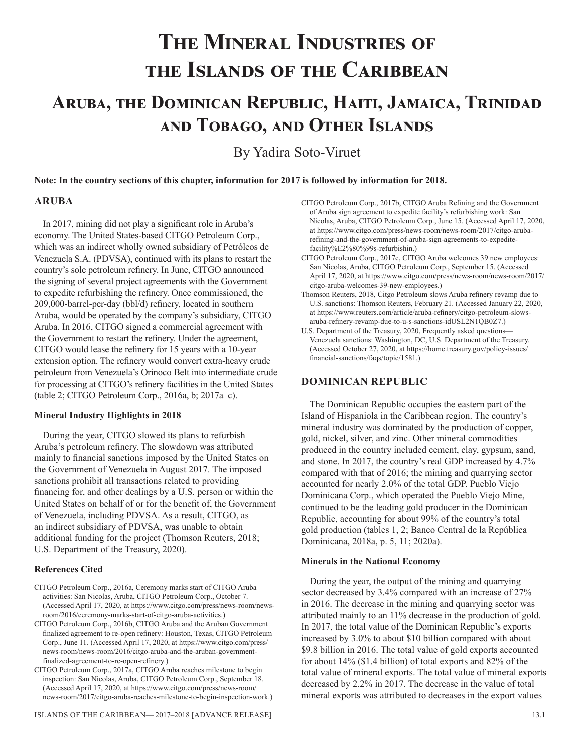## **The Mineral Industries of the Islands of the Caribbean**

### **Aruba, the Dominican Republic, Haiti, Jamaica, Trinidad and Tobago, and Other Islands**

By Yadira Soto-Viruet

**Note: In the country sections of this chapter, information for 2017 is followed by information for 2018.**

#### **ARUBA**

In 2017, mining did not play a significant role in Aruba's economy. The United States-based CITGO Petroleum Corp., which was an indirect wholly owned subsidiary of Petróleos de Venezuela S.A. (PDVSA), continued with its plans to restart the country's sole petroleum refinery. In June, CITGO announced the signing of several project agreements with the Government to expedite refurbishing the refinery. Once commissioned, the 209,000-barrel-per-day (bbl/d) refinery, located in southern Aruba, would be operated by the company's subsidiary, CITGO Aruba. In 2016, CITGO signed a commercial agreement with the Government to restart the refinery. Under the agreement, CITGO would lease the refinery for 15 years with a 10-year extension option. The refinery would convert extra-heavy crude petroleum from Venezuela's Orinoco Belt into intermediate crude for processing at CITGO's refinery facilities in the United States (table 2; CITGO Petroleum Corp., 2016a, b; 2017a–c).

#### **Mineral Industry Highlights in 2018**

During the year, CITGO slowed its plans to refurbish Aruba's petroleum refinery. The slowdown was attributed mainly to financial sanctions imposed by the United States on the Government of Venezuela in August 2017. The imposed sanctions prohibit all transactions related to providing financing for, and other dealings by a U.S. person or within the United States on behalf of or for the benefit of, the Government of Venezuela, including PDVSA. As a result, CITGO, as an indirect subsidiary of PDVSA, was unable to obtain additional funding for the project (Thomson Reuters, 2018; U.S. Department of the Treasury, 2020).

#### **References Cited**

- CITGO Petroleum Corp., 2016a, Ceremony marks start of CITGO Aruba activities: San Nicolas, Aruba, CITGO Petroleum Corp., October 7. (Accessed April 17, 2020, at https://www.citgo.com/press/news-room/newsroom/2016/ceremony-marks-start-of-citgo-aruba-activities.)
- CITGO Petroleum Corp., 2016b, CITGO Aruba and the Aruban Government finalized agreement to re-open refinery: Houston, Texas, CITGO Petroleum Corp., June 11. (Accessed April 17, 2020, at https://www.citgo.com/press/ news-room/news-room/2016/citgo-aruba-and-the-aruban-governmentfinalized-agreement-to-re-open-refinery.)
- CITGO Petroleum Corp., 2017a, CITGO Aruba reaches milestone to begin inspection: San Nicolas, Aruba, CITGO Petroleum Corp., September 18. (Accessed April 17, 2020, at https://www.citgo.com/press/news-room/ news-room/2017/citgo-aruba-reaches-milestone-to-begin-inspection-work.)
- CITGO Petroleum Corp., 2017b, CITGO Aruba Refining and the Government of Aruba sign agreement to expedite facility's refurbishing work: San Nicolas, Aruba, CITGO Petroleum Corp., June 15. (Accessed April 17, 2020, at https://www.citgo.com/press/news-room/news-room/2017/citgo-arubarefining-and-the-government-of-aruba-sign-agreements-to-expeditefacility%E2%80%99s-refurbishin.)
- CITGO Petroleum Corp., 2017c, CITGO Aruba welcomes 39 new employees: San Nicolas, Aruba, CITGO Petroleum Corp., September 15. (Accessed April 17, 2020, at https://www.citgo.com/press/news-room/news-room/2017/ citgo-aruba-welcomes-39-new-employees.)
- Thomson Reuters, 2018, Citgo Petroleum slows Aruba refinery revamp due to U.S. sanctions: Thomson Reuters, February 21. (Accessed January 22, 2020, at https://www.reuters.com/article/aruba-refinery/citgo-petroleum-slowsaruba-refinery-revamp-due-to-u-s-sanctions-idUSL2N1QB0Z7.)
- U.S. Department of the Treasury, 2020, Frequently asked questions— Venezuela sanctions: Washington, DC, U.S. Department of the Treasury. (Accessed October 27, 2020, at https://home.treasury.gov/policy-issues/ financial-sanctions/faqs/topic/1581.)

#### **DOMINICAN REPUBLIC**

The Dominican Republic occupies the eastern part of the Island of Hispaniola in the Caribbean region. The country's mineral industry was dominated by the production of copper, gold, nickel, silver, and zinc. Other mineral commodities produced in the country included cement, clay, gypsum, sand, and stone. In 2017, the country's real GDP increased by 4.7% compared with that of 2016; the mining and quarrying sector accounted for nearly 2.0% of the total GDP. Pueblo Viejo Dominicana Corp., which operated the Pueblo Viejo Mine, continued to be the leading gold producer in the Dominican Republic, accounting for about 99% of the country's total gold production (tables 1, 2; Banco Central de la República Dominicana, 2018a, p. 5, 11; 2020a).

#### **Minerals in the National Economy**

During the year, the output of the mining and quarrying sector decreased by 3.4% compared with an increase of 27% in 2016. The decrease in the mining and quarrying sector was attributed mainly to an 11% decrease in the production of gold. In 2017, the total value of the Dominican Republic's exports increased by 3.0% to about \$10 billion compared with about \$9.8 billion in 2016. The total value of gold exports accounted for about 14% (\$1.4 billion) of total exports and 82% of the total value of mineral exports. The total value of mineral exports decreased by 2.2% in 2017. The decrease in the value of total mineral exports was attributed to decreases in the export values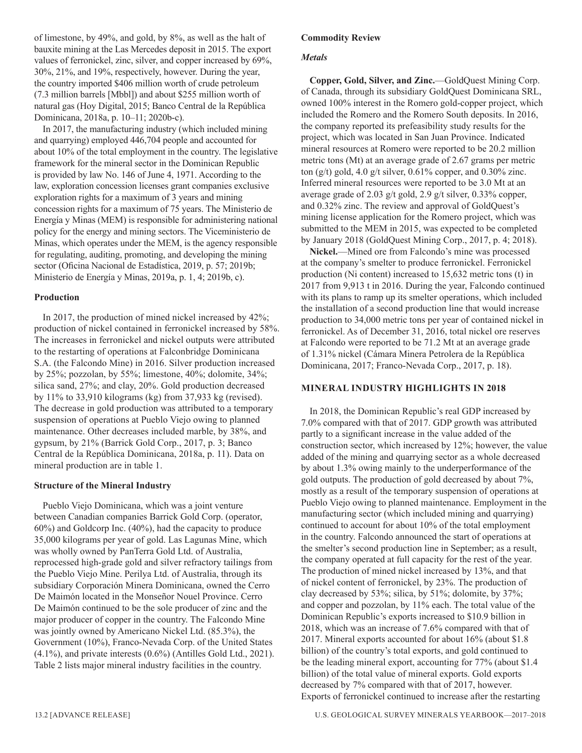of limestone, by 49%, and gold, by 8%, as well as the halt of bauxite mining at the Las Mercedes deposit in 2015. The export values of ferronickel, zinc, silver, and copper increased by 69%, 30%, 21%, and 19%, respectively, however. During the year, the country imported \$406 million worth of crude petroleum (7.3 million barrels [Mbbl]) and about \$255 million worth of natural gas (Hoy Digital, 2015; Banco Central de la República Dominicana, 2018a, p. 10–11; 2020b-c).

In 2017, the manufacturing industry (which included mining and quarrying) employed 446,704 people and accounted for about 10% of the total employment in the country. The legislative framework for the mineral sector in the Dominican Republic is provided by law No. 146 of June 4, 1971. According to the law, exploration concession licenses grant companies exclusive exploration rights for a maximum of 3 years and mining concession rights for a maximum of 75 years. The Ministerio de Energía y Minas (MEM) is responsible for administering national policy for the energy and mining sectors. The Viceministerio de Minas, which operates under the MEM, is the agency responsible for regulating, auditing, promoting, and developing the mining sector (Oficina Nacional de Estadística, 2019, p. 57; 2019b; Ministerio de Energía y Minas, 2019a, p. 1, 4; 2019b, c).

#### **Production**

In 2017, the production of mined nickel increased by 42%; production of nickel contained in ferronickel increased by 58%. The increases in ferronickel and nickel outputs were attributed to the restarting of operations at Falconbridge Dominicana S.A. (the Falcondo Mine) in 2016. Silver production increased by 25%; pozzolan, by 55%; limestone, 40%; dolomite, 34%; silica sand, 27%; and clay, 20%. Gold production decreased by 11% to 33,910 kilograms (kg) from 37,933 kg (revised). The decrease in gold production was attributed to a temporary suspension of operations at Pueblo Viejo owing to planned maintenance. Other decreases included marble, by 38%, and gypsum, by 21% (Barrick Gold Corp., 2017, p. 3; Banco Central de la República Dominicana, 2018a, p. 11). Data on mineral production are in table 1.

#### **Structure of the Mineral Industry**

Pueblo Viejo Dominicana, which was a joint venture between Canadian companies Barrick Gold Corp. (operator, 60%) and Goldcorp Inc. (40%), had the capacity to produce 35,000 kilograms per year of gold. Las Lagunas Mine, which was wholly owned by PanTerra Gold Ltd. of Australia, reprocessed high-grade gold and silver refractory tailings from the Pueblo Viejo Mine. Perilya Ltd. of Australia, through its subsidiary Corporación Minera Dominicana, owned the Cerro De Maimón located in the Monseñor Nouel Province. Cerro De Maimón continued to be the sole producer of zinc and the major producer of copper in the country. The Falcondo Mine was jointly owned by Americano Nickel Ltd. (85.3%), the Government (10%), Franco-Nevada Corp. of the United States (4.1%), and private interests (0.6%) (Antilles Gold Ltd., 2021). Table 2 lists major mineral industry facilities in the country.

#### *Metals*

**Copper, Gold, Silver, and Zinc.**—GoldQuest Mining Corp. of Canada, through its subsidiary GoldQuest Dominicana SRL, owned 100% interest in the Romero gold-copper project, which included the Romero and the Romero South deposits. In 2016, the company reported its prefeasibility study results for the project, which was located in San Juan Province. Indicated mineral resources at Romero were reported to be 20.2 million metric tons (Mt) at an average grade of 2.67 grams per metric ton (g/t) gold, 4.0 g/t silver, 0.61% copper, and 0.30% zinc. Inferred mineral resources were reported to be 3.0 Mt at an average grade of 2.03 g/t gold, 2.9 g/t silver, 0.33% copper, and 0.32% zinc. The review and approval of GoldQuest's mining license application for the Romero project, which was submitted to the MEM in 2015, was expected to be completed by January 2018 (GoldQuest Mining Corp., 2017, p. 4; 2018).

**Nickel.**—Mined ore from Falcondo's mine was processed at the company's smelter to produce ferronickel. Ferronickel production (Ni content) increased to 15,632 metric tons (t) in 2017 from 9,913 t in 2016. During the year, Falcondo continued with its plans to ramp up its smelter operations, which included the installation of a second production line that would increase production to 34,000 metric tons per year of contained nickel in ferronickel. As of December 31, 2016, total nickel ore reserves at Falcondo were reported to be 71.2 Mt at an average grade of 1.31% nickel (Cámara Minera Petrolera de la República Dominicana, 2017; Franco-Nevada Corp., 2017, p. 18).

#### **MINERAL INDUSTRY HIGHLIGHTS IN 2018**

In 2018, the Dominican Republic's real GDP increased by 7.0% compared with that of 2017. GDP growth was attributed partly to a significant increase in the value added of the construction sector, which increased by 12%; however, the value added of the mining and quarrying sector as a whole decreased by about 1.3% owing mainly to the underperformance of the gold outputs. The production of gold decreased by about 7%, mostly as a result of the temporary suspension of operations at Pueblo Viejo owing to planned maintenance. Employment in the manufacturing sector (which included mining and quarrying) continued to account for about 10% of the total employment in the country. Falcondo announced the start of operations at the smelter's second production line in September; as a result, the company operated at full capacity for the rest of the year. The production of mined nickel increased by 13%, and that of nickel content of ferronickel, by 23%. The production of clay decreased by 53%; silica, by 51%; dolomite, by 37%; and copper and pozzolan, by 11% each. The total value of the Dominican Republic's exports increased to \$10.9 billion in 2018, which was an increase of 7.6% compared with that of 2017. Mineral exports accounted for about 16% (about \$1.8 billion) of the country's total exports, and gold continued to be the leading mineral export, accounting for 77% (about \$1.4 billion) of the total value of mineral exports. Gold exports decreased by 7% compared with that of 2017, however. Exports of ferronickel continued to increase after the restarting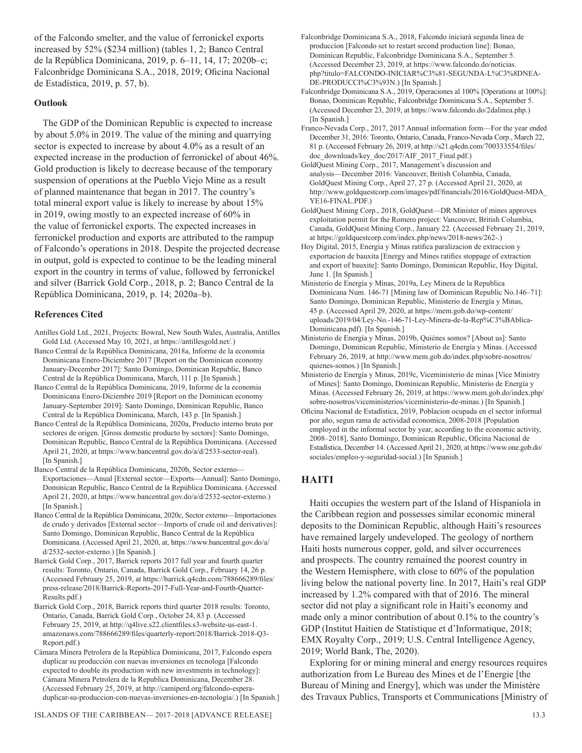of the Falcondo smelter, and the value of ferronickel exports increased by 52% (\$234 million) (tables 1, 2; Banco Central de la República Dominicana, 2019, p. 6–11, 14, 17; 2020b–c; Falconbridge Dominicana S.A., 2018, 2019; Oficina Nacional de Estadística, 2019, p. 57, b).

#### **Outlook**

The GDP of the Dominican Republic is expected to increase by about 5.0% in 2019. The value of the mining and quarrying sector is expected to increase by about 4.0% as a result of an expected increase in the production of ferronickel of about 46%. Gold production is likely to decrease because of the temporary suspension of operations at the Pueblo Viejo Mine as a result of planned maintenance that began in 2017. The country's total mineral export value is likely to increase by about 15% in 2019, owing mostly to an expected increase of 60% in the value of ferronickel exports. The expected increases in ferronickel production and exports are attributed to the rampup of Falcondo's operations in 2018. Despite the projected decrease in output, gold is expected to continue to be the leading mineral export in the country in terms of value, followed by ferronickel and silver (Barrick Gold Corp., 2018, p. 2; Banco Central de la República Dominicana, 2019, p. 14; 2020a–b).

#### **References Cited**

Antilles Gold Ltd., 2021, Projects: Bowral, New South Wales, Australia, Antilles Gold Ltd. (Accessed May 10, 2021, at https://antillesgold.net/.)

- Banco Central de la República Dominicana, 2018a, Informe de la economia Dominicana Enero-Diciembre 2017 [Report on the Dominican economy January-December 2017]: Santo Domingo, Dominican Republic, Banco Central de la República Dominicana, March, 111 p. [In Spanish.]
- Banco Central de la República Dominicana, 2019, Informe de la economia Dominicana Enero-Diciembre 2019 [Report on the Dominican economy January-September 2019]: Santo Domingo, Dominican Republic, Banco Central de la República Dominicana, March, 143 p. [In Spanish.]

Banco Central de la República Dominicana, 2020a, Producto interno bruto por sectores de origen. [Gross domestic producto by sectors]: Santo Domingo, Dominican Republic, Banco Central de la República Dominicana. (Accessed April 21, 2020, at https://www.bancentral.gov.do/a/d/2533-sector-real). [In Spanish.]

- Banco Central de la República Dominicana, 2020b, Sector externo— Exportaciones—Anual [External sector—Exports—Annual]: Santo Domingo, Dominican Republic, Banco Central de la República Dominicana. (Accessed April 21, 2020, at https://www.bancentral.gov.do/a/d/2532-sector-externo.) [In Spanish.]
- Banco Central de la República Dominicana, 2020c, Sector externo—Importaciones de crudo y derivados [External sector—Imports of crude oil and derivatives]: Santo Domingo, Dominican Republic, Banco Central de la República Dominicana. (Accessed April 21, 2020, at, https://www.bancentral.gov.do/a/ d/2532-sector-externo.) [In Spanish.]
- Barrick Gold Corp., 2017, Barrick reports 2017 full year and fourth quarter results: Toronto, Ontario, Canada, Barrick Gold Corp., February 14, 26 p. (Accessed February 25, 2019, at https://barrick.q4cdn.com/788666289/files/ press-release/2018/Barrick-Reports-2017-Full-Year-and-Fourth-Quarter-Results.pdf.)
- Barrick Gold Corp., 2018, Barrick reports third quarter 2018 results: Toronto, Ontario, Canada, Barrick Gold Corp., October 24, 83 p. (Accessed February 25, 2019, at http://q4live.s22.clientfiles.s3-website-us-east-1. amazonaws.com/788666289/files/quarterly-report/2018/Barrick-2018-Q3- Report.pdf.)
- Cámara Minera Petrolera de la República Dominicana, 2017, Falcondo espera duplicar su producción con nuevas inversiones en tecnologa [Falcondo expected to double its production with new investments in technology]: Cámara Minera Petrolera de la Republica Dominicana, December 28. (Accessed February 25, 2019, at http://camiperd.org/falcondo-esperaduplicar-su-produccion-con-nuevas-inversiones-en-tecnologia/.) [In Spanish.]
- Falconbridge Dominicana S.A., 2018, Falcondo iniciará segunda línea de produccíon [Falcondo set to restart second production line]: Bonao, Dominican Republic, Falconbridge Dominicana S.A., September 5. (Accessed December 23, 2019, at https://www.falcondo.do/noticias. php?titulo=FALCONDO-INICIAR%C3%81-SEGUNDA-L%C3%8DNEA-DE-PRODUCCI%C3%93N.) [In Spanish.]
- Falconbridge Dominicana S.A., 2019, Operaciones al 100% [Operations at 100%]: Bonao, Dominican Republic, Falconbridge Dominicana S.A., September 5. (Accessed December 23, 2019, at https://www.falcondo.do/2dalinea.php.) [In Spanish.]
- Franco-Nevada Corp., 2017, 2017 Annual information form—For the year ended December 31, 2016: Toronto, Ontario, Canada, Franco-Nevada Corp., March 22, 81 p. (Accessed February 26, 2019, at http://s21.q4cdn.com/700333554/files/ doc\_downloads/key\_doc/2017/AIF\_2017\_Final.pdf.)
- GoldQuest Mining Corp., 2017, Management's discussion and analysis—December 2016: Vancouver, British Columbia, Canada, GoldQuest Mining Corp., April 27, 27 p. (Accessed April 21, 2020, at http://www.goldquestcorp.com/images/pdf/financials/2016/GoldQuest-MDA\_ YE16-FINAL.PDF.)
- GoldQuest Mining Corp., 2018, GoldQuest—DR Minister of mines approves exploitation permit for the Romero project: Vancouver, British Columbia, Canada, GoldQuest Mining Corp., January 22. (Accessed February 21, 2019, at https://goldquestcorp.com/index.php/news/2018-news/262-.)
- Hoy Digital, 2015, Energia y Minas ratifica paralizacion de extraccion y exportacion de bauxita [Energy and Mines ratifies stoppage of extraction and export of bauxite]: Santo Domingo, Dominican Republic, Hoy Digital, June 1. [In Spanish.]
- Ministerio de Energía y Minas, 2019a, Ley Minera de la Republica Dominicana Num. 146-71 [Mining law of Dominican Republic No.146–71]: Santo Domingo, Dominican Republic, Ministerio de Energía y Minas, 45 p. (Accessed April 29, 2020, at https://mem.gob.do/wp-content/ uploads/2019/04/Ley-No.-146-71-Ley-Minera-de-la-Rep%C3%BAblica-Dominicana.pdf). [In Spanish.]
- Ministerio de Energía y Minas, 2019b, Quiénes somos? [About us]: Santo Domingo, Dominican Republic, Ministerio de Energía y Minas. (Accessed February 26, 2019, at http://www.mem.gob.do/index.php/sobre-nosotros/ quienes-somos.) [In Spanish.]
- Ministerio de Energía y Minas, 2019c, Viceministerio de minas [Vice Ministry of Mines]: Santo Domingo, Dominican Republic, Ministerio de Energía y Minas. (Accessed February 26, 2019, at https://www.mem.gob.do/index.php/ sobre-nosotros/viceministerios/viceministerio-de-minas.) [In Spanish.]
- Oficina Nacional de Estadística, 2019, Poblacion ocupada en el sector informal por año, segun rama de actividad economica, 2008-2018 [Population employed in the informal sector by year, according to the economic activity, 2008–2018], Santo Domingo, Dominican Republic, Oficina Nacional de Estadística, December 14. (Accessed April 21, 2020, at https://www.one.gob.do/ sociales/empleo-y-seguridad-social.) [In Spanish.]

#### **HAITI**

Haiti occupies the western part of the Island of Hispaniola in the Caribbean region and possesses similar economic mineral deposits to the Dominican Republic, although Haiti's resources have remained largely undeveloped. The geology of northern Haiti hosts numerous copper, gold, and silver occurrences and prospects. The country remained the poorest country in the Western Hemisphere, with close to 60% of the population living below the national poverty line. In 2017, Haiti's real GDP increased by 1.2% compared with that of 2016. The mineral sector did not play a significant role in Haiti's economy and made only a minor contribution of about 0.1% to the country's GDP (Institut Haitien de Statistique et d'Informatique, 2018; EMX Royalty Corp., 2019; U.S. Central Intelligence Agency, 2019; World Bank, The, 2020).

Exploring for or mining mineral and energy resources requires authorization from Le Bureau des Mines et de l'Energie [the Bureau of Mining and Energy], which was under the Ministère des Travaux Publics, Transports et Communications [Ministry of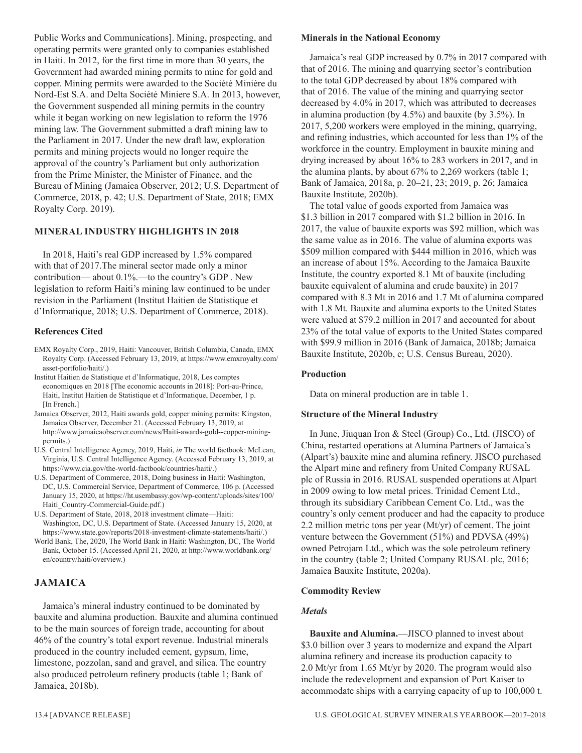Public Works and Communications]. Mining, prospecting, and operating permits were granted only to companies established in Haiti. In 2012, for the first time in more than 30 years, the Government had awarded mining permits to mine for gold and copper. Mining permits were awarded to the Société Minière du Nord-Est S.A. and Delta Société Miniere S.A. In 2013, however, the Government suspended all mining permits in the country while it began working on new legislation to reform the 1976 mining law. The Government submitted a draft mining law to the Parliament in 2017. Under the new draft law, exploration permits and mining projects would no longer require the approval of the country's Parliament but only authorization from the Prime Minister, the Minister of Finance, and the Bureau of Mining (Jamaica Observer, 2012; U.S. Department of Commerce, 2018, p. 42; U.S. Department of State, 2018; EMX Royalty Corp. 2019).

#### **MINERAL INDUSTRY HIGHLIGHTS IN 2018**

In 2018, Haiti's real GDP increased by 1.5% compared with that of 2017.The mineral sector made only a minor contribution— about 0.1%.—to the country's GDP . New legislation to reform Haiti's mining law continued to be under revision in the Parliament (Institut Haitien de Statistique et d'Informatique, 2018; U.S. Department of Commerce, 2018).

#### **References Cited**

- EMX Royalty Corp., 2019, Haiti: Vancouver, British Columbia, Canada, EMX Royalty Corp. (Accessed February 13, 2019, at https://www.emxroyalty.com/ asset-portfolio/haiti/.)
- Institut Haitien de Statistique et d'Informatique, 2018, Les comptes economiques en 2018 [The economic accounts in 2018]: Port-au-Prince, Haiti, Institut Haitien de Statistique et d'Informatique, December, 1 p. [In French.]
- Jamaica Observer, 2012, Haiti awards gold, copper mining permits: Kingston, Jamaica Observer, December 21. (Accessed February 13, 2019, at http://www.jamaicaobserver.com/news/Haiti-awards-gold--copper-miningpermits.)
- U.S. Central Intelligence Agency, 2019, Haiti, *in* The world factbook: McLean, Virginia, U.S. Central Intelligence Agency. (Accessed February 13, 2019, at https://www.cia.gov/the-world-factbook/countries/haiti/.)
- U.S. Department of Commerce, 2018, Doing business in Haiti: Washington, DC, U.S. Commercial Service, Department of Commerce, 106 p. (Accessed January 15, 2020, at https://ht.usembassy.gov/wp-content/uploads/sites/100/ Haiti\_Country-Commercial-Guide.pdf.)
- U.S. Department of State, 2018, 2018 investment climate—Haiti: Washington, DC, U.S. Department of State. (Accessed January 15, 2020, at https://www.state.gov/reports/2018-investment-climate-statements/haiti/.)
- World Bank, The, 2020, The World Bank in Haiti: Washington, DC, The World Bank, October 15. (Accessed April 21, 2020, at http://www.worldbank.org/ en/country/haiti/overview.)

#### **JAMAICA**

Jamaica's mineral industry continued to be dominated by bauxite and alumina production. Bauxite and alumina continued to be the main sources of foreign trade, accounting for about 46% of the country's total export revenue. Industrial minerals produced in the country included cement, gypsum, lime, limestone, pozzolan, sand and gravel, and silica. The country also produced petroleum refinery products (table 1; Bank of Jamaica, 2018b).

#### **Minerals in the National Economy**

Jamaica's real GDP increased by 0.7% in 2017 compared with that of 2016. The mining and quarrying sector's contribution to the total GDP decreased by about 18% compared with that of 2016. The value of the mining and quarrying sector decreased by 4.0% in 2017, which was attributed to decreases in alumina production (by 4.5%) and bauxite (by 3.5%). In 2017, 5,200 workers were employed in the mining, quarrying, and refining industries, which accounted for less than 1% of the workforce in the country. Employment in bauxite mining and drying increased by about 16% to 283 workers in 2017, and in the alumina plants, by about 67% to 2,269 workers (table 1; Bank of Jamaica, 2018a, p. 20–21, 23; 2019, p. 26; Jamaica Bauxite Institute, 2020b).

The total value of goods exported from Jamaica was \$1.3 billion in 2017 compared with \$1.2 billion in 2016. In 2017, the value of bauxite exports was \$92 million, which was the same value as in 2016. The value of alumina exports was \$509 million compared with \$444 million in 2016, which was an increase of about 15%. According to the Jamaica Bauxite Institute, the country exported 8.1 Mt of bauxite (including bauxite equivalent of alumina and crude bauxite) in 2017 compared with 8.3 Mt in 2016 and 1.7 Mt of alumina compared with 1.8 Mt. Bauxite and alumina exports to the United States were valued at \$79.2 million in 2017 and accounted for about 23% of the total value of exports to the United States compared with \$99.9 million in 2016 (Bank of Jamaica, 2018b; Jamaica Bauxite Institute, 2020b, c; U.S. Census Bureau, 2020).

#### **Production**

Data on mineral production are in table 1.

#### **Structure of the Mineral Industry**

In June, Jiuquan Iron & Steel (Group) Co., Ltd. (JISCO) of China, restarted operations at Alumina Partners of Jamaica's (Alpart's) bauxite mine and alumina refinery. JISCO purchased the Alpart mine and refinery from United Company RUSAL plc of Russia in 2016. RUSAL suspended operations at Alpart in 2009 owing to low metal prices. Trinidad Cement Ltd., through its subsidiary Caribbean Cement Co. Ltd., was the country's only cement producer and had the capacity to produce 2.2 million metric tons per year (Mt/yr) of cement. The joint venture between the Government (51%) and PDVSA (49%) owned Petrojam Ltd., which was the sole petroleum refinery in the country (table 2; United Company RUSAL plc, 2016; Jamaica Bauxite Institute, 2020a).

#### **Commodity Review**

#### *Metals*

**Bauxite and Alumina.**—JISCO planned to invest about \$3.0 billion over 3 years to modernize and expand the Alpart alumina refinery and increase its production capacity to 2.0 Mt/yr from 1.65 Mt/yr by 2020. The program would also include the redevelopment and expansion of Port Kaiser to accommodate ships with a carrying capacity of up to 100,000 t.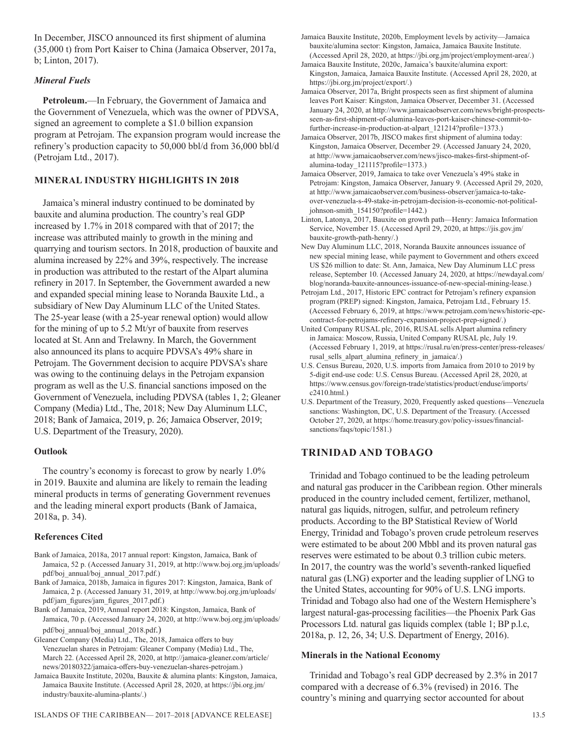In December, JISCO announced its first shipment of alumina (35,000 t) from Port Kaiser to China (Jamaica Observer, 2017a, b; Linton, 2017).

#### *Mineral Fuels*

**Petroleum.**—In February, the Government of Jamaica and the Government of Venezuela, which was the owner of PDVSA, signed an agreement to complete a \$1.0 billion expansion program at Petrojam. The expansion program would increase the refinery's production capacity to 50,000 bbl/d from 36,000 bbl/d (Petrojam Ltd., 2017).

#### **MINERAL INDUSTRY HIGHLIGHTS IN 2018**

Jamaica's mineral industry continued to be dominated by bauxite and alumina production. The country's real GDP increased by 1.7% in 2018 compared with that of 2017; the increase was attributed mainly to growth in the mining and quarrying and tourism sectors. In 2018, production of bauxite and alumina increased by 22% and 39%, respectively. The increase in production was attributed to the restart of the Alpart alumina refinery in 2017. In September, the Government awarded a new and expanded special mining lease to Noranda Bauxite Ltd., a subsidiary of New Day Aluminum LLC of the United States. The 25-year lease (with a 25-year renewal option) would allow for the mining of up to 5.2 Mt/yr of bauxite from reserves located at St. Ann and Trelawny. In March, the Government also announced its plans to acquire PDVSA's 49% share in Petrojam. The Government decision to acquire PDVSA's share was owing to the continuing delays in the Petrojam expansion program as well as the U.S. financial sanctions imposed on the Government of Venezuela, including PDVSA (tables 1, 2; Gleaner Company (Media) Ltd., The, 2018; New Day Aluminum LLC, 2018; Bank of Jamaica, 2019, p. 26; Jamaica Observer, 2019; U.S. Department of the Treasury, 2020).

#### **Outlook**

The country's economy is forecast to grow by nearly 1.0% in 2019. Bauxite and alumina are likely to remain the leading mineral products in terms of generating Government revenues and the leading mineral export products (Bank of Jamaica, 2018a, p. 34).

#### **References Cited**

- Bank of Jamaica, 2018a, 2017 annual report: Kingston, Jamaica, Bank of Jamaica, 52 p. (Accessed January 31, 2019, at http://www.boj.org.jm/uploads/ pdf/boj\_annual/boj\_annual\_2017.pdf.)
- Bank of Jamaica, 2018b, Jamaica in figures 2017: Kingston, Jamaica, Bank of Jamaica, 2 p. (Accessed January 31, 2019, at http://www.boj.org.jm/uploads/ pdf/jam\_figures/jam\_figures\_2017.pdf.)
- Bank of Jamaica, 2019, Annual report 2018: Kingston, Jamaica, Bank of Jamaica, 70 p. (Accessed January 24, 2020, at http://www.boj.org.jm/uploads/ pdf/boj\_annual/boj\_annual\_2018.pdf.)
- Gleaner Company (Media) Ltd., The, 2018, Jamaica offers to buy Venezuelan shares in Petrojam: Gleaner Company (Media) Ltd., The, March 22. (Accessed April 28, 2020, at http://jamaica-gleaner.com/article/ news/20180322/jamaica-offers-buy-venezuelan-shares-petrojam.)
- Jamaica Bauxite Institute, 2020a, Bauxite & alumina plants: Kingston, Jamaica, Jamaica Bauxite Institute. (Accessed April 28, 2020, at https://jbi.org.jm/ industry/bauxite-alumina-plants/.)
- Jamaica Bauxite Institute, 2020b, Employment levels by activity—Jamaica bauxite/alumina sector: Kingston, Jamaica, Jamaica Bauxite Institute. (Accessed April 28, 2020, at https://jbi.org.jm/project/employment-area/.)
- Jamaica Bauxite Institute, 2020c, Jamaica's bauxite/alumina export: Kingston, Jamaica, Jamaica Bauxite Institute. (Accessed April 28, 2020, at https://jbi.org.jm/project/export/.)
- Jamaica Observer, 2017a, Bright prospects seen as first shipment of alumina leaves Port Kaiser: Kingston, Jamaica Observer, December 31. (Accessed January 24, 2020, at http://www.jamaicaobserver.com/news/bright-prospectsseen-as-first-shipment-of-alumina-leaves-port-kaiser-chinese-commit-tofurther-increase-in-production-at-alpart\_121214?profile=1373.)
- Jamaica Observer, 2017b, JISCO makes first shipment of alumina today: Kingston, Jamaica Observer, December 29. (Accessed January 24, 2020, at http://www.jamaicaobserver.com/news/jisco-makes-first-shipment-ofalumina-today\_121115?profile=1373.)
- Jamaica Observer, 2019, Jamaica to take over Venezuela's 49% stake in Petrojam: Kingston, Jamaica Observer, January 9. (Accessed April 29, 2020, at http://www.jamaicaobserver.com/business-observer/jamaica-to-takeover-venezuela-s-49-stake-in-petrojam-decision-is-economic-not-politicaljohnson-smith\_154150?profile=1442.)
- Linton, Latonya, 2017, Bauxite on growth path—Henry: Jamaica Information Service, November 15. (Accessed April 29, 2020, at https://jis.gov.jm/ bauxite-growth-path-henry/.)
- New Day Aluminum LLC, 2018, Noranda Bauxite announces issuance of new special mining lease, while payment to Government and others exceed US \$26 million to date: St. Ann, Jamaica, New Day Aluminum LLC press release, September 10. (Accessed January 24, 2020, at https://newdayal.com/ blog/noranda-bauxite-announces-issuance-of-new-special-mining-lease.)
- Petrojam Ltd., 2017, Historic EPC contract for Petrojam's refinery expansion program (PREP) signed: Kingston, Jamaica, Petrojam Ltd., February 15. (Accessed February 6, 2019, at https://www.petrojam.com/news/historic-epccontract-for-petrojams-refinery-expansion-project-prep-signed/.)
- United Company RUSAL plc, 2016, RUSAL sells Alpart alumina refinery in Jamaica: Moscow, Russia, United Company RUSAL plc, July 19. (Accessed February 1, 2019, at https://rusal.ru/en/press-center/press-releases/ rusal sells alpart alumina refinery in jamaica/.)
- U.S. Census Bureau, 2020, U.S. imports from Jamaica from 2010 to 2019 by 5-digit end-use code: U.S. Census Bureau. (Accessed April 28, 2020, at https://www.census.gov/foreign-trade/statistics/product/enduse/imports/ c2410.html.)
- U.S. Department of the Treasury, 2020, Frequently asked questions—Venezuela sanctions: Washington, DC, U.S. Department of the Treasury. (Accessed October 27, 2020, at https://home.treasury.gov/policy-issues/financialsanctions/faqs/topic/1581.)

#### **TRINIDAD AND TOBAGO**

Trinidad and Tobago continued to be the leading petroleum and natural gas producer in the Caribbean region. Other minerals produced in the country included cement, fertilizer, methanol, natural gas liquids, nitrogen, sulfur, and petroleum refinery products. According to the BP Statistical Review of World Energy, Trinidad and Tobago's proven crude petroleum reserves were estimated to be about 200 Mbbl and its proven natural gas reserves were estimated to be about 0.3 trillion cubic meters. In 2017, the country was the world's seventh-ranked liquefied natural gas (LNG) exporter and the leading supplier of LNG to the United States, accounting for 90% of U.S. LNG imports. Trinidad and Tobago also had one of the Western Hemisphere's largest natural-gas-processing facilities—the Phoenix Park Gas Processors Ltd. natural gas liquids complex (table 1; BP p.l.c, 2018a, p. 12, 26, 34; U.S. Department of Energy, 2016).

#### **Minerals in the National Economy**

Trinidad and Tobago's real GDP decreased by 2.3% in 2017 compared with a decrease of 6.3% (revised) in 2016. The country's mining and quarrying sector accounted for about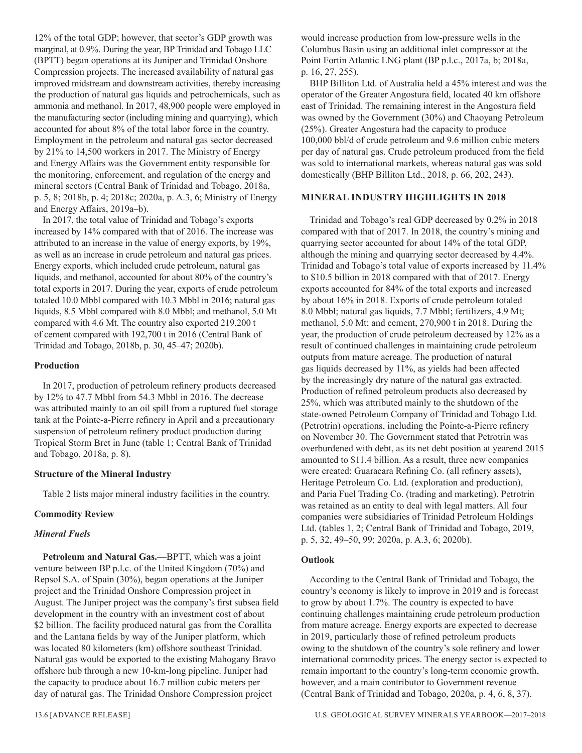12% of the total GDP; however, that sector's GDP growth was marginal, at 0.9%. During the year, BP Trinidad and Tobago LLC (BPTT) began operations at its Juniper and Trinidad Onshore Compression projects. The increased availability of natural gas improved midstream and downstream activities, thereby increasing the production of natural gas liquids and petrochemicals, such as ammonia and methanol. In 2017, 48,900 people were employed in the manufacturing sector (including mining and quarrying), which accounted for about 8% of the total labor force in the country. Employment in the petroleum and natural gas sector decreased by 21% to 14,500 workers in 2017. The Ministry of Energy and Energy Affairs was the Government entity responsible for the monitoring, enforcement, and regulation of the energy and mineral sectors (Central Bank of Trinidad and Tobago, 2018a, p. 5, 8; 2018b, p. 4; 2018c; 2020a, p. A.3, 6; Ministry of Energy and Energy Affairs, 2019a–b).

In 2017, the total value of Trinidad and Tobago's exports increased by 14% compared with that of 2016. The increase was attributed to an increase in the value of energy exports, by 19%, as well as an increase in crude petroleum and natural gas prices. Energy exports, which included crude petroleum, natural gas liquids, and methanol, accounted for about 80% of the country's total exports in 2017. During the year, exports of crude petroleum totaled 10.0 Mbbl compared with 10.3 Mbbl in 2016; natural gas liquids, 8.5 Mbbl compared with 8.0 Mbbl; and methanol, 5.0 Mt compared with 4.6 Mt. The country also exported 219,200 t of cement compared with 192,700 t in 2016 (Central Bank of Trinidad and Tobago, 2018b, p. 30, 45–47; 2020b).

#### **Production**

In 2017, production of petroleum refinery products decreased by 12% to 47.7 Mbbl from 54.3 Mbbl in 2016. The decrease was attributed mainly to an oil spill from a ruptured fuel storage tank at the Pointe-a-Pierre refinery in April and a precautionary suspension of petroleum refinery product production during Tropical Storm Bret in June (table 1; Central Bank of Trinidad and Tobago, 2018a, p. 8).

#### **Structure of the Mineral Industry**

Table 2 lists major mineral industry facilities in the country.

#### **Commodity Review**

#### *Mineral Fuels*

**Petroleum and Natural Gas.**—BPTT, which was a joint venture between BP p.l.c. of the United Kingdom (70%) and Repsol S.A. of Spain (30%), began operations at the Juniper project and the Trinidad Onshore Compression project in August. The Juniper project was the company's first subsea field development in the country with an investment cost of about \$2 billion. The facility produced natural gas from the Corallita and the Lantana fields by way of the Juniper platform, which was located 80 kilometers (km) offshore southeast Trinidad. Natural gas would be exported to the existing Mahogany Bravo offshore hub through a new 10-km-long pipeline. Juniper had the capacity to produce about 16.7 million cubic meters per day of natural gas. The Trinidad Onshore Compression project

would increase production from low-pressure wells in the Columbus Basin using an additional inlet compressor at the Point Fortin Atlantic LNG plant (BP p.l.c., 2017a, b; 2018a, p. 16, 27, 255).

BHP Billiton Ltd. of Australia held a 45% interest and was the operator of the Greater Angostura field, located 40 km offshore east of Trinidad. The remaining interest in the Angostura field was owned by the Government (30%) and Chaoyang Petroleum (25%). Greater Angostura had the capacity to produce 100,000 bbl/d of crude petroleum and 9.6 million cubic meters per day of natural gas. Crude petroleum produced from the field was sold to international markets, whereas natural gas was sold domestically (BHP Billiton Ltd., 2018, p. 66, 202, 243).

#### **MINERAL INDUSTRY HIGHLIGHTS IN 2018**

Trinidad and Tobago's real GDP decreased by 0.2% in 2018 compared with that of 2017. In 2018, the country's mining and quarrying sector accounted for about 14% of the total GDP, although the mining and quarrying sector decreased by 4.4%. Trinidad and Tobago's total value of exports increased by 11.4% to \$10.5 billion in 2018 compared with that of 2017. Energy exports accounted for 84% of the total exports and increased by about 16% in 2018. Exports of crude petroleum totaled 8.0 Mbbl; natural gas liquids, 7.7 Mbbl; fertilizers, 4.9 Mt; methanol, 5.0 Mt; and cement, 270,900 t in 2018. During the year, the production of crude petroleum decreased by 12% as a result of continued challenges in maintaining crude petroleum outputs from mature acreage. The production of natural gas liquids decreased by 11%, as yields had been affected by the increasingly dry nature of the natural gas extracted. Production of refined petroleum products also decreased by 25%, which was attributed mainly to the shutdown of the state-owned Petroleum Company of Trinidad and Tobago Ltd. (Petrotrin) operations, including the Pointe-a-Pierre refinery on November 30. The Government stated that Petrotrin was overburdened with debt, as its net debt position at yearend 2015 amounted to \$11.4 billion. As a result, three new companies were created: Guaracara Refining Co. (all refinery assets), Heritage Petroleum Co. Ltd. (exploration and production), and Paria Fuel Trading Co. (trading and marketing). Petrotrin was retained as an entity to deal with legal matters. All four companies were subsidiaries of Trinidad Petroleum Holdings Ltd. (tables 1, 2; Central Bank of Trinidad and Tobago, 2019, p. 5, 32, 49–50, 99; 2020a, p. A.3, 6; 2020b).

#### **Outlook**

According to the Central Bank of Trinidad and Tobago, the country's economy is likely to improve in 2019 and is forecast to grow by about 1.7%. The country is expected to have continuing challenges maintaining crude petroleum production from mature acreage. Energy exports are expected to decrease in 2019, particularly those of refined petroleum products owing to the shutdown of the country's sole refinery and lower international commodity prices. The energy sector is expected to remain important to the country's long-term economic growth, however, and a main contributor to Government revenue (Central Bank of Trinidad and Tobago, 2020a, p. 4, 6, 8, 37).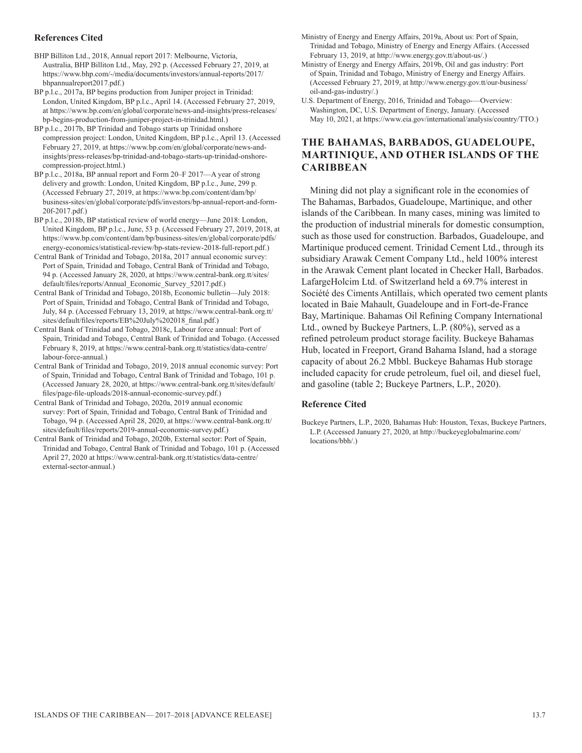#### **References Cited**

BHP Billiton Ltd., 2018, Annual report 2017: Melbourne, Victoria, Australia, BHP Billiton Ltd., May, 292 p. (Accessed February 27, 2019, at https://www.bhp.com/-/media/documents/investors/annual-reports/2017/ bhpannualreport2017.pdf.)

BP p.l.c., 2017a, BP begins production from Juniper project in Trinidad: London, United Kingdom, BP p.l.c., April 14. (Accessed February 27, 2019, at https://www.bp.com/en/global/corporate/news-and-insights/press-releases/ bp-begins-production-from-juniper-project-in-trinidad.html.)

BP p.l.c., 2017b, BP Trinidad and Tobago starts up Trinidad onshore compression project: London, United Kingdom, BP p.l.c., April 13. (Accessed February 27, 2019, at https://www.bp.com/en/global/corporate/news-andinsights/press-releases/bp-trinidad-and-tobago-starts-up-trinidad-onshorecompression-project.html.)

BP p.l.c., 2018a, BP annual report and Form 20–F 2017—A year of strong delivery and growth: London, United Kingdom, BP p.l.c., June, 299 p. (Accessed February 27, 2019, at https://www.bp.com/content/dam/bp/ business-sites/en/global/corporate/pdfs/investors/bp-annual-report-and-form-20f-2017.pdf.)

BP p.l.c., 2018b, BP statistical review of world energy—June 2018: London, United Kingdom, BP p.l.c., June, 53 p. (Accessed February 27, 2019, 2018, at https://www.bp.com/content/dam/bp/business-sites/en/global/corporate/pdfs/ energy-economics/statistical-review/bp-stats-review-2018-full-report.pdf.)

Central Bank of Trinidad and Tobago, 2018a, 2017 annual economic survey: Port of Spain, Trinidad and Tobago, Central Bank of Trinidad and Tobago, 94 p. (Accessed January 28, 2020, at https://www.central-bank.org.tt/sites/ default/files/reports/Annual\_Economic\_Survey\_52017.pdf.)

Central Bank of Trinidad and Tobago, 2018b, Economic bulletin—July 2018: Port of Spain, Trinidad and Tobago, Central Bank of Trinidad and Tobago, July, 84 p. (Accessed February 13, 2019, at https://www.central-bank.org.tt/ sites/default/files/reports/EB%20July%202018\_final.pdf.)

Central Bank of Trinidad and Tobago, 2018c, Labour force annual: Port of Spain, Trinidad and Tobago, Central Bank of Trinidad and Tobago. (Accessed February 8, 2019, at https://www.central-bank.org.tt/statistics/data-centre/ labour-force-annual.)

Central Bank of Trinidad and Tobago, 2019, 2018 annual economic survey: Port of Spain, Trinidad and Tobago, Central Bank of Trinidad and Tobago, 101 p. (Accessed January 28, 2020, at https://www.central-bank.org.tt/sites/default/ files/page-file-uploads/2018-annual-economic-survey.pdf.)

Central Bank of Trinidad and Tobago, 2020a, 2019 annual economic survey: Port of Spain, Trinidad and Tobago, Central Bank of Trinidad and Tobago, 94 p. (Accessed April 28, 2020, at https://www.central-bank.org.tt/ sites/default/files/reports/2019-annual-economic-survey.pdf.)

Central Bank of Trinidad and Tobago, 2020b, External sector: Port of Spain, Trinidad and Tobago, Central Bank of Trinidad and Tobago, 101 p. (Accessed April 27, 2020 at https://www.central-bank.org.tt/statistics/data-centre/ external-sector-annual.)

Ministry of Energy and Energy Affairs, 2019a, About us: Port of Spain, Trinidad and Tobago, Ministry of Energy and Energy Affairs. (Accessed February 13, 2019, at http://www.energy.gov.tt/about-us/.)

Ministry of Energy and Energy Affairs, 2019b, Oil and gas industry: Port of Spain, Trinidad and Tobago, Ministry of Energy and Energy Affairs. (Accessed February 27, 2019, at http://www.energy.gov.tt/our-business/ oil-and-gas-industry/.)

U.S. Department of Energy, 2016, Trinidad and Tobago-—Overview: Washington, DC, U.S. Department of Energy, January. (Accessed May 10, 2021, at https://www.eia.gov/international/analysis/country/TTO.)

#### **THE BAHAMAS, BARBADOS, GUADELOUPE, MARTINIQUE, AND OTHER ISLANDS OF THE CARIBBEAN**

Mining did not play a significant role in the economies of The Bahamas, Barbados, Guadeloupe, Martinique, and other islands of the Caribbean. In many cases, mining was limited to the production of industrial minerals for domestic consumption, such as those used for construction. Barbados, Guadeloupe, and Martinique produced cement. Trinidad Cement Ltd., through its subsidiary Arawak Cement Company Ltd., held 100% interest in the Arawak Cement plant located in Checker Hall, Barbados. LafargeHolcim Ltd. of Switzerland held a 69.7% interest in Société des Ciments Antillais, which operated two cement plants located in Baie Mahault, Guadeloupe and in Fort-de-France Bay, Martinique. Bahamas Oil Refining Company International Ltd., owned by Buckeye Partners, L.P. (80%), served as a refined petroleum product storage facility. Buckeye Bahamas Hub, located in Freeport, Grand Bahama Island, had a storage capacity of about 26.2 Mbbl. Buckeye Bahamas Hub storage included capacity for crude petroleum, fuel oil, and diesel fuel, and gasoline (table 2; Buckeye Partners, L.P., 2020).

#### **Reference Cited**

Buckeye Partners, L.P., 2020, Bahamas Hub: Houston, Texas, Buckeye Partners, L.P. (Accessed January 27, 2020, at http://buckeyeglobalmarine.com/ locations/bbh/.)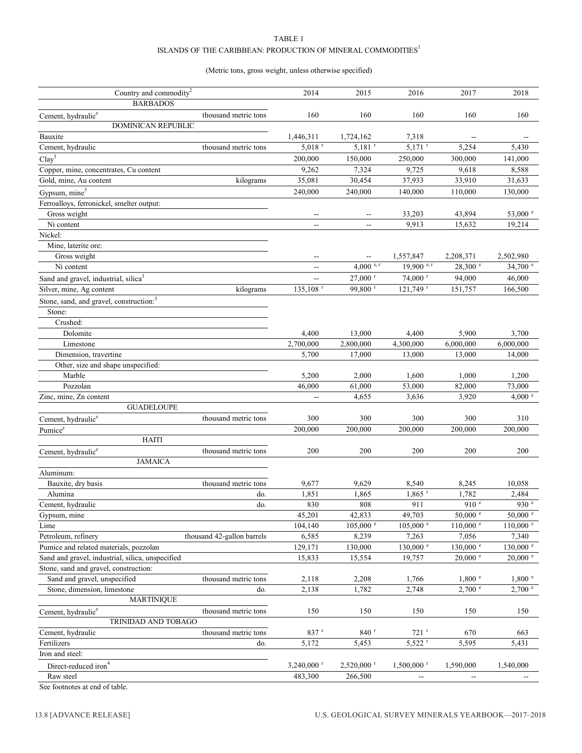#### TABLE 1 ISLANDS OF THE CARIBBEAN: PRODUCTION OF MINERAL COMMODITIES  $^{\rm l}$

#### (Metric tons, gross weight, unless otherwise specified)

| Country and commodity <sup>2</sup>                  | 2014                       | 2015                     | 2016                     | 2017                     | 2018                   |                     |
|-----------------------------------------------------|----------------------------|--------------------------|--------------------------|--------------------------|------------------------|---------------------|
| <b>BARBADOS</b>                                     |                            |                          |                          |                          |                        |                     |
| Cement, hydraulic <sup>e</sup>                      | thousand metric tons       | 160                      | 160                      | 160                      | 160                    | 160                 |
| <b>DOMINICAN REPUBLIC</b>                           |                            |                          |                          |                          |                        |                     |
| Bauxite                                             |                            | 1,446,311                | 1,724,162                | 7,318                    |                        |                     |
| Cement, hydraulic                                   | thousand metric tons       | $5.018$ <sup>r</sup>     | $5,181$ <sup>r</sup>     | $5,171$ <sup>r</sup>     | 5,254                  | 5,430               |
| Clay <sup>3</sup>                                   |                            | 200,000                  | 150,000                  | 250,000                  | 300,000                | 141,000             |
| Copper, mine, concentrates, Cu content              |                            | 9,262                    | 7,324                    | 9,725                    | 9,618                  | 8,588               |
| Gold, mine, Au content                              | kilograms                  | 35,081                   | 30,454                   | 37,933                   | 33,910                 | 31,633              |
| Gypsum, mine <sup>3</sup>                           |                            | 240,000                  | 240,000                  | 140,000                  | 110,000                | 130,000             |
| Ferroalloys, ferronickel, smelter output:           |                            |                          |                          |                          |                        |                     |
| Gross weight                                        |                            |                          |                          | 33,203                   | 43,894                 | 53,000 e            |
| Ni content                                          |                            | $\overline{a}$           | $\overline{a}$           | 9,913                    | 15,632                 | 19,214              |
| Nickel:                                             |                            |                          |                          |                          |                        |                     |
| Mine, laterite ore:                                 |                            |                          |                          |                          |                        |                     |
| Gross weight                                        |                            | $\overline{a}$           | $\overline{\phantom{a}}$ | 1,557,847                | 2,208,371              | 2,502,980           |
| Ni content                                          |                            | $- -$                    | 4,000 $e, r$             | 19,900 $e, r$            | 28,300 e               | 34,700 e            |
|                                                     |                            |                          | $27,000$ <sup>r</sup>    | $74,000$ <sup>r</sup>    | 94,000                 | 46,000              |
| Sand and gravel, industrial, silica <sup>3</sup>    |                            | $\overline{a}$           | 99.800 <sup>r</sup>      |                          |                        |                     |
| Silver, mine, Ag content                            | kilograms                  | $135,108$ <sup>r</sup>   |                          | 121,749 <sup>r</sup>     | 151,757                | 166,500             |
| Stone, sand, and gravel, construction: <sup>3</sup> |                            |                          |                          |                          |                        |                     |
| Stone:                                              |                            |                          |                          |                          |                        |                     |
| Crushed:                                            |                            |                          |                          |                          |                        |                     |
| Dolomite                                            |                            | 4,400                    | 13,000                   | 4,400                    | 5,900                  | 3,700               |
| Limestone                                           |                            | 2,700,000                | 2,800,000                | 4,300,000                | 6,000,000              | 6,000,000           |
| Dimension, travertine                               |                            | 5,700                    | 17,000                   | 13,000                   | 13,000                 | 14,000              |
| Other, size and shape unspecified:                  |                            |                          |                          |                          |                        |                     |
| Marble                                              |                            | 5,200                    | 2,000                    | 1,600                    | 1,000                  | 1,200               |
| Pozzolan                                            |                            | 46,000                   | 61,000                   | 53,000                   | 82,000                 | 73,000              |
| Zinc, mine, Zn content                              |                            |                          | 4,655                    | 3,636                    | 3,920                  | 4,000 $^{\circ}$    |
| <b>GUADELOUPE</b>                                   |                            |                          |                          |                          |                        |                     |
| Cement, hydraulic <sup>e</sup>                      | thousand metric tons       | 300                      | 300                      | 300                      | 300                    | 310                 |
| Pumice <sup>e</sup>                                 |                            | 200,000                  | 200,000                  | 200,000                  | 200,000                | 200,000             |
| <b>HAITI</b>                                        |                            |                          |                          |                          |                        |                     |
| Cement, hydraulic <sup>e</sup>                      | thousand metric tons       | 200                      | 200                      | 200                      | 200                    | 200                 |
| <b>JAMAICA</b>                                      |                            |                          |                          |                          |                        |                     |
| Aluminum:                                           |                            |                          |                          |                          |                        |                     |
| Bauxite, dry basis                                  | thousand metric tons       | 9,677                    | 9,629                    | 8,540                    | 8,245                  | 10,058              |
| Alumina                                             | do.                        | 1,851                    | 1,865                    | $1,865$ <sup>r</sup>     | 1,782                  | 2,484               |
| Cement, hydraulic                                   | do.                        | 830                      | 808                      | 911                      | 910 <sup>e</sup>       | 930 <sup>e</sup>    |
| Gypsum, mine                                        |                            | 45,201                   | 42,833                   | 49,703                   | $50,000$ e             | $50,000$ e          |
| Lime                                                |                            | 104,140                  | $105,000$ $\degree$      | $105,000$ $^{\circ}$     | $110,000$ $\degree$    | $110,000$ $\degree$ |
| Petroleum, refinery                                 | thousand 42-gallon barrels | 6,585                    | 8,239                    | 7,263                    | 7,056                  | 7,340               |
| Pumice and related materials, pozzolan              |                            | 129,171                  | 130,000                  | $130{,}000$ $^{\circ}$   | $130{,}000$ $^{\circ}$ | 130,000 °           |
| Sand and gravel, industrial, silica, unspecified    |                            | 15,833                   | 15,554                   | 19,757                   | $20,000$ $\degree$     | $20,000$ $\degree$  |
| Stone, sand and gravel, construction:               |                            |                          |                          |                          |                        |                     |
| Sand and gravel, unspecified                        | thousand metric tons       | 2,118                    | 2,208                    | 1,766                    | 1,800 °                | 1,800 °             |
| Stone, dimension, limestone                         | do.                        | 2,138                    | 1,782                    | 2,748                    | $2,700$ $\degree$      | $2,700$ e           |
| <b>MARTINIQUE</b>                                   |                            |                          |                          |                          |                        |                     |
| Cement, hydraulic <sup>e</sup>                      | thousand metric tons       | 150                      | 150                      | 150                      | 150                    | 150                 |
| TRINIDAD AND TOBAGO                                 |                            |                          |                          |                          |                        |                     |
| Cement, hydraulic                                   | thousand metric tons       | $837$ r                  | $840$ <sup>r</sup>       | $721$ <sup>r</sup>       | 670                    | 663                 |
| Fertilizers                                         | do.                        | 5,172                    | 5,453                    | 5,522 r                  | 5,595                  | 5,431               |
| Iron and steel:                                     |                            |                          |                          |                          |                        |                     |
| Direct-reduced iron <sup>4</sup>                    |                            | $3,240,000$ <sup>r</sup> | 2,520,000 r              | $1,500,000$ <sup>r</sup> | 1,590,000              | 1,540,000           |
| Raw steel                                           |                            | 483,300                  | 266,500                  |                          |                        |                     |
| 0.11                                                |                            |                          |                          |                          |                        |                     |

See footnotes at end of table.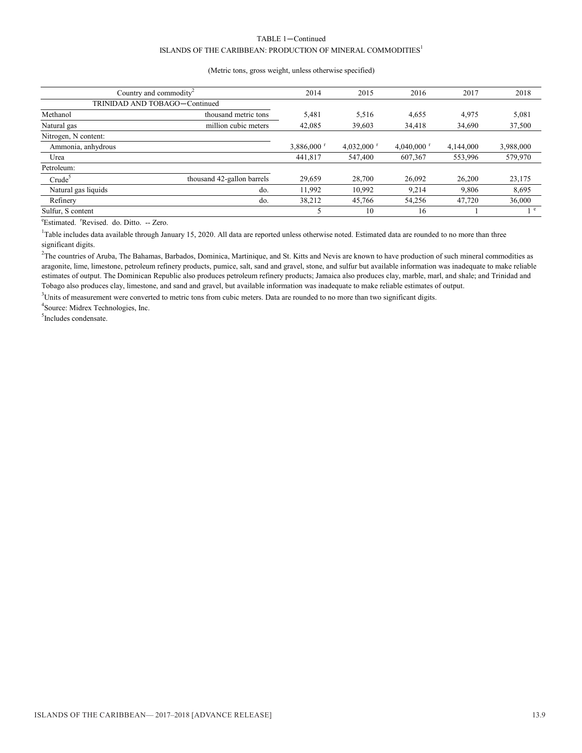#### TABLE 1—Continued ISLANDS OF THE CARIBBEAN: PRODUCTION OF MINERAL COMMODITIES<sup>1</sup>

#### (Metric tons, gross weight, unless otherwise specified)

| Country and commodity         | 2014                       | 2015      | 2016      | 2017                 | 2018      |            |
|-------------------------------|----------------------------|-----------|-----------|----------------------|-----------|------------|
| TRINIDAD AND TOBAGO-Continued |                            |           |           |                      |           |            |
| Methanol                      | thousand metric tons       | 5,481     | 5,516     | 4,655                | 4.975     | 5,081      |
| Natural gas                   | million cubic meters       | 42,085    | 39,603    | 34,418               | 34.690    | 37,500     |
| Nitrogen, N content:          |                            |           |           |                      |           |            |
| Ammonia, anhydrous            |                            | 3,886,000 | 4,032,000 | 4,040,000 $^{\circ}$ | 4,144,000 | 3,988,000  |
| Urea                          |                            | 441.817   | 547,400   | 607,367              | 553,996   | 579,970    |
| Petroleum:                    |                            |           |           |                      |           |            |
| Crude <sup>5</sup>            | thousand 42-gallon barrels | 29,659    | 28,700    | 26,092               | 26,200    | 23,175     |
| Natural gas liquids           | do.                        | 11.992    | 10.992    | 9.214                | 9.806     | 8,695      |
| Refinery                      | do.                        | 38.212    | 45,766    | 54,256               | 47,720    | 36,000     |
| Sulfur, S content             |                            |           | 10        | 16                   |           | $^{\circ}$ |

<sup>e</sup>Estimated. <sup>r</sup>Revised. do. Ditto. -- Zero.

<sup>1</sup>Table includes data available through January 15, 2020. All data are reported unless otherwise noted. Estimated data are rounded to no more than three significant digits.

<sup>2</sup>The countries of Aruba, The Bahamas, Barbados, Dominica, Martinique, and St. Kitts and Nevis are known to have production of such mineral commodities as aragonite, lime, limestone, petroleum refinery products, pumice, salt, sand and gravel, stone, and sulfur but available information was inadequate to make reliable estimates of output. The Dominican Republic also produces petroleum refinery products; Jamaica also produces clay, marble, marl, and shale; and Trinidad and Tobago also produces clay, limestone, and sand and gravel, but available information was inadequate to make reliable estimates of output.

<sup>3</sup>Units of measurement were converted to metric tons from cubic meters. Data are rounded to no more than two significant digits.

4 Source: Midrex Technologies, Inc.

5 Includes condensate.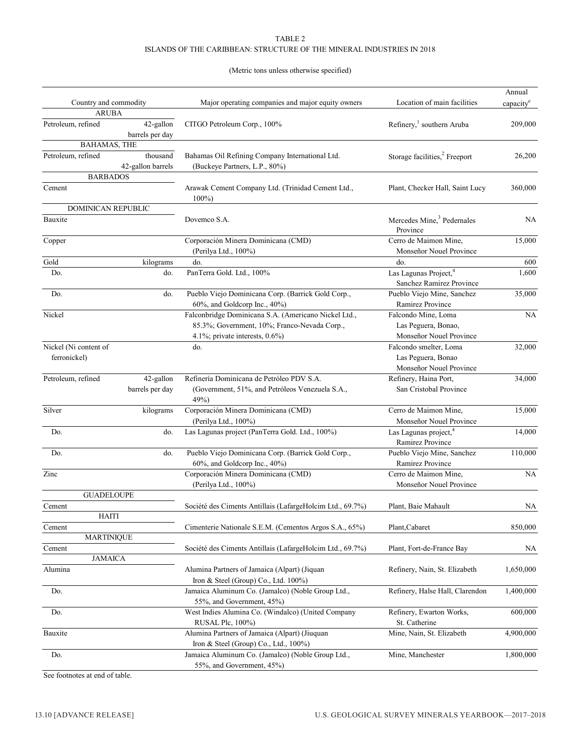#### TABLE 2 ISLANDS OF THE CARIBBEAN: STRUCTURE OF THE MINERAL INDUSTRIES IN 2018

#### (Metric tons unless otherwise specified)

|         |                           |                   |                                                                                |                                           | Annual                |
|---------|---------------------------|-------------------|--------------------------------------------------------------------------------|-------------------------------------------|-----------------------|
|         | Country and commodity     |                   | Major operating companies and major equity owners                              | Location of main facilities               | capacity <sup>e</sup> |
|         | <b>ARUBA</b>              |                   |                                                                                |                                           |                       |
|         | Petroleum, refined        | 42-gallon         | CITGO Petroleum Corp., 100%                                                    | Refinery, <sup>1</sup> southern Aruba     | 209,000               |
|         |                           | barrels per day   |                                                                                |                                           |                       |
|         | <b>BAHAMAS, THE</b>       |                   |                                                                                |                                           |                       |
|         | Petroleum, refined        | thousand          | Bahamas Oil Refining Company International Ltd.                                | Storage facilities, <sup>2</sup> Freeport | 26,200                |
|         | <b>BARBADOS</b>           | 42-gallon barrels | (Buckeye Partners, L.P., 80%)                                                  |                                           |                       |
|         |                           |                   |                                                                                |                                           |                       |
| Cement  |                           |                   | Arawak Cement Company Ltd. (Trinidad Cement Ltd.,<br>$100\%$                   | Plant, Checker Hall, Saint Lucy           | 360,000               |
|         | <b>DOMINICAN REPUBLIC</b> |                   |                                                                                |                                           |                       |
| Bauxite |                           |                   | Dovemco S.A.                                                                   | Mercedes Mine, <sup>3</sup> Pedernales    | NA                    |
|         |                           |                   |                                                                                | Province                                  |                       |
| Copper  |                           |                   | Corporación Minera Dominicana (CMD)                                            | Cerro de Maimon Mine,                     | 15,000                |
|         |                           |                   | (Perilya Ltd., 100%)                                                           | Monseñor Nouel Province                   |                       |
| Gold    |                           | kilograms         | do.                                                                            | do.                                       | 600                   |
| Do.     |                           | do.               | PanTerra Gold. Ltd., 100%                                                      | Las Lagunas Project, <sup>4</sup>         | 1,600                 |
|         |                           |                   |                                                                                | Sanchez Ramirez Province                  |                       |
| Do.     |                           | do.               | Pueblo Viejo Dominicana Corp. (Barrick Gold Corp.,                             | Pueblo Viejo Mine, Sanchez                | 35,000                |
|         |                           |                   | $60\%$ , and Goldcorp Inc., $40\%$ )                                           | Ramirez Province                          |                       |
| Nickel  |                           |                   | Falconbridge Dominicana S.A. (Americano Nickel Ltd.,                           | Falcondo Mine, Loma                       | <b>NA</b>             |
|         |                           |                   | 85.3%; Government, 10%; Franco-Nevada Corp.,                                   | Las Peguera, Bonao,                       |                       |
|         |                           |                   | 4.1%; private interests, 0.6%)                                                 | Monseñor Nouel Province                   |                       |
|         | Nickel (Ni content of     |                   | do.                                                                            | Falcondo smelter, Loma                    | 32,000                |
|         | ferronickel)              |                   |                                                                                | Las Peguera, Bonao                        |                       |
|         |                           |                   |                                                                                | Monseñor Nouel Province                   |                       |
|         | Petroleum, refined        | 42-gallon         | Refinería Dominicana de Petróleo PDV S.A.                                      | Refinery, Haina Port,                     | 34,000                |
|         |                           | barrels per day   | (Government, 51%, and Petróleos Venezuela S.A.,<br>49%)                        | San Cristobal Province                    |                       |
| Silver  |                           | kilograms         | Corporación Minera Dominicana (CMD)                                            | Cerro de Maimon Mine,                     | 15,000                |
|         |                           |                   | (Perilya Ltd., 100%)                                                           | Monseñor Nouel Province                   |                       |
| Do.     |                           | do.               | Las Lagunas project (PanTerra Gold. Ltd., 100%)                                | Las Lagunas project, <sup>4</sup>         | 14,000                |
|         |                           |                   |                                                                                | Ramirez Province                          |                       |
| Do.     |                           | do.               | Pueblo Viejo Dominicana Corp. (Barrick Gold Corp.,                             | Pueblo Viejo Mine, Sanchez                | 110,000               |
|         |                           |                   | 60%, and Goldcorp Inc., 40%)                                                   | Ramirez Province                          |                       |
| Zinc    |                           |                   | Corporación Minera Dominicana (CMD)                                            | Cerro de Maimon Mine,                     | <b>NA</b>             |
|         | <b>GUADELOUPE</b>         |                   | (Perilya Ltd., 100%)                                                           | Monseñor Nouel Province                   |                       |
| Cement  |                           |                   | Société des Ciments Antillais (LafargeHolcim Ltd., 69.7%)                      | Plant, Baie Mahault                       | NA                    |
|         | HAITI                     |                   |                                                                                |                                           |                       |
| Cement  |                           |                   | Cimenterie Nationale S.E.M. (Cementos Argos S.A., 65%)                         | Plant, Cabaret                            | 850,000               |
|         | <b>MARTINIQUE</b>         |                   |                                                                                |                                           |                       |
| Cement  |                           |                   | Société des Ciments Antillais (LafargeHolcim Ltd., 69.7%)                      | Plant, Fort-de-France Bay                 | NА                    |
|         | <b>JAMAICA</b>            |                   |                                                                                |                                           |                       |
| Alumina |                           |                   | Alumina Partners of Jamaica (Alpart) (Jiquan                                   | Refinery, Nain, St. Elizabeth             | 1,650,000             |
|         |                           |                   | Iron & Steel (Group) Co., Ltd. 100%)                                           |                                           |                       |
| Do.     |                           |                   | Jamaica Aluminum Co. (Jamalco) (Noble Group Ltd.,<br>55%, and Government, 45%) | Refinery, Halse Hall, Clarendon           | 1,400,000             |
| Do.     |                           |                   | West Indies Alumina Co. (Windalco) (United Company                             | Refinery, Ewarton Works,                  | 600,000               |
|         |                           |                   | RUSAL Plc, 100%)                                                               | St. Catherine                             |                       |
| Bauxite |                           |                   | Alumina Partners of Jamaica (Alpart) (Jiuquan                                  | Mine, Nain, St. Elizabeth                 | 4,900,000             |
|         |                           |                   | Iron & Steel (Group) Co., Ltd., 100%)                                          |                                           |                       |
| Do.     |                           |                   | Jamaica Aluminum Co. (Jamalco) (Noble Group Ltd.,                              | Mine, Manchester                          | 1,800,000             |
|         |                           |                   | 55%, and Government, 45%)                                                      |                                           |                       |

See footnotes at end of table.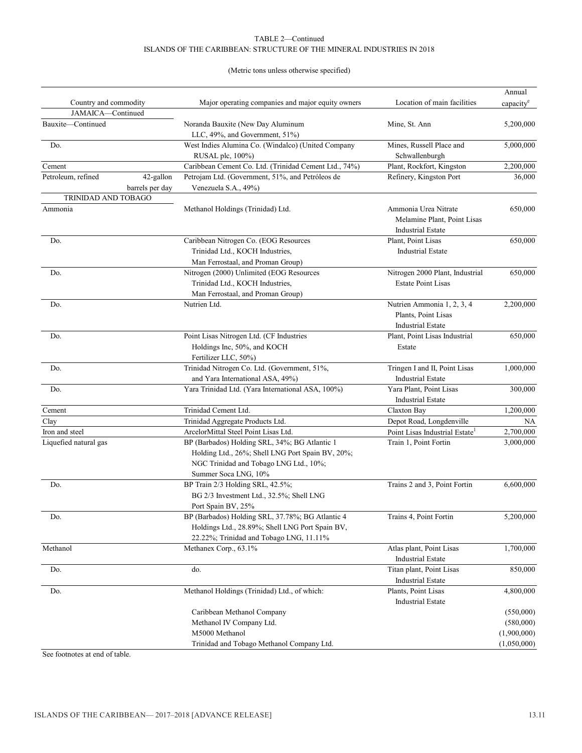#### TABLE 2—Continued ISLANDS OF THE CARIBBEAN: STRUCTURE OF THE MINERAL INDUSTRIES IN 2018

#### (Metric tons unless otherwise specified)

| Country and commodity<br>Major operating companies and major equity owners<br>Location of main facilities<br>capacity <sup>e</sup><br>JAMAICA-Continued<br>Bauxite-Continued<br>Noranda Bauxite (New Day Aluminum<br>Mine, St. Ann<br>5,200,000<br>LLC, 49%, and Government, 51%)<br>Mines, Russell Place and<br>Do.<br>West Indies Alumina Co. (Windalco) (United Company<br>5,000,000<br>RUSAL plc, 100%)<br>Schwallenburgh<br>Caribbean Cement Co. Ltd. (Trinidad Cement Ltd., 74%)<br>Plant, Rockfort, Kingston<br>2,200,000<br>Cement<br>Petroleum, refined<br>42-gallon<br>Petrojam Ltd. (Government, 51%, and Petróleos de<br>Refinery, Kingston Port<br>36,000<br>Venezuela S.A., 49%)<br>barrels per day<br><b>TRINIDAD AND TOBAGO</b><br>Ammonia<br>650,000<br>Methanol Holdings (Trinidad) Ltd.<br>Ammonia Urea Nitrate<br>Melamine Plant, Point Lisas<br><b>Industrial Estate</b><br>Caribbean Nitrogen Co. (EOG Resources<br>Do.<br>Plant, Point Lisas<br>650,000<br>Trinidad Ltd., KOCH Industries,<br><b>Industrial Estate</b><br>Man Ferrostaal, and Proman Group)<br>Do.<br>Nitrogen (2000) Unlimited (EOG Resources<br>Nitrogen 2000 Plant, Industrial<br>650,000<br>Trinidad Ltd., KOCH Industries,<br><b>Estate Point Lisas</b><br>Man Ferrostaal, and Proman Group)<br>Nutrien Ammonia 1, 2, 3, 4<br>Do.<br>Nutrien Ltd.<br>2,200,000<br>Plants, Point Lisas<br><b>Industrial Estate</b><br>Point Lisas Nitrogen Ltd. (CF Industries<br>Do.<br>Plant, Point Lisas Industrial<br>650,000<br>Holdings Inc, 50%, and KOCH<br>Estate<br>Fertilizer LLC, 50%)<br>Trinidad Nitrogen Co. Ltd. (Government, 51%,<br>Tringen I and II, Point Lisas<br>Do.<br>1,000,000<br>and Yara International ASA, 49%)<br><b>Industrial Estate</b><br>Yara Plant, Point Lisas<br>Do.<br>Yara Trinidad Ltd. (Yara International ASA, 100%)<br>300,000<br><b>Industrial Estate</b><br>Trinidad Cement Ltd.<br>1,200,000<br>Claxton Bay<br>Cement<br>Clay<br>Trinidad Aggregate Products Ltd.<br>Depot Road, Longdenville<br>NA<br>ArcelorMittal Steel Point Lisas Ltd.<br>2,700,000<br>Iron and steel<br>Point Lisas Industrial Estate <sup>1</sup><br>BP (Barbados) Holding SRL, 34%; BG Atlantic 1<br>Liquefied natural gas<br>Train 1, Point Fortin<br>3,000,000<br>Holding Ltd., 26%; Shell LNG Port Spain BV, 20%;<br>NGC Trinidad and Tobago LNG Ltd., 10%;<br>Summer Soca LNG, 10%<br>Do.<br>Trains 2 and 3, Point Fortin<br>6,600,000<br>BP Train 2/3 Holding SRL, 42.5%;<br>BG 2/3 Investment Ltd., 32.5%; Shell LNG<br>Port Spain BV, 25%<br>Do.<br>BP (Barbados) Holding SRL, 37.78%; BG Atlantic 4<br>Trains 4, Point Fortin<br>5,200,000<br>Holdings Ltd., 28.89%; Shell LNG Port Spain BV,<br>22.22%; Trinidad and Tobago LNG, 11.11%<br>Atlas plant, Point Lisas<br>1,700,000<br>Methanol<br>Methanex Corp., 63.1%<br><b>Industrial Estate</b><br>Titan plant, Point Lisas<br>do.<br>850,000<br>Do.<br><b>Industrial Estate</b><br>Methanol Holdings (Trinidad) Ltd., of which:<br>Plants, Point Lisas<br>4,800,000<br>Do.<br><b>Industrial Estate</b><br>Caribbean Methanol Company<br>(550,000)<br>Methanol IV Company Ltd.<br>M5000 Methanol<br>(1,900,000)<br>Trinidad and Tobago Methanol Company Ltd.<br>(1,050,000) |  | Annual |  |
|-----------------------------------------------------------------------------------------------------------------------------------------------------------------------------------------------------------------------------------------------------------------------------------------------------------------------------------------------------------------------------------------------------------------------------------------------------------------------------------------------------------------------------------------------------------------------------------------------------------------------------------------------------------------------------------------------------------------------------------------------------------------------------------------------------------------------------------------------------------------------------------------------------------------------------------------------------------------------------------------------------------------------------------------------------------------------------------------------------------------------------------------------------------------------------------------------------------------------------------------------------------------------------------------------------------------------------------------------------------------------------------------------------------------------------------------------------------------------------------------------------------------------------------------------------------------------------------------------------------------------------------------------------------------------------------------------------------------------------------------------------------------------------------------------------------------------------------------------------------------------------------------------------------------------------------------------------------------------------------------------------------------------------------------------------------------------------------------------------------------------------------------------------------------------------------------------------------------------------------------------------------------------------------------------------------------------------------------------------------------------------------------------------------------------------------------------------------------------------------------------------------------------------------------------------------------------------------------------------------------------------------------------------------------------------------------------------------------------------------------------------------------------------------------------------------------------------------------------------------------------------------------------------------------------------------------------------------------------------------------------------------------------------------------------------------------------------------------------------------------------------------------------------------------------------------------------------------------------------------------|--|--------|--|
|                                                                                                                                                                                                                                                                                                                                                                                                                                                                                                                                                                                                                                                                                                                                                                                                                                                                                                                                                                                                                                                                                                                                                                                                                                                                                                                                                                                                                                                                                                                                                                                                                                                                                                                                                                                                                                                                                                                                                                                                                                                                                                                                                                                                                                                                                                                                                                                                                                                                                                                                                                                                                                                                                                                                                                                                                                                                                                                                                                                                                                                                                                                                                                                                                                         |  |        |  |
|                                                                                                                                                                                                                                                                                                                                                                                                                                                                                                                                                                                                                                                                                                                                                                                                                                                                                                                                                                                                                                                                                                                                                                                                                                                                                                                                                                                                                                                                                                                                                                                                                                                                                                                                                                                                                                                                                                                                                                                                                                                                                                                                                                                                                                                                                                                                                                                                                                                                                                                                                                                                                                                                                                                                                                                                                                                                                                                                                                                                                                                                                                                                                                                                                                         |  |        |  |
|                                                                                                                                                                                                                                                                                                                                                                                                                                                                                                                                                                                                                                                                                                                                                                                                                                                                                                                                                                                                                                                                                                                                                                                                                                                                                                                                                                                                                                                                                                                                                                                                                                                                                                                                                                                                                                                                                                                                                                                                                                                                                                                                                                                                                                                                                                                                                                                                                                                                                                                                                                                                                                                                                                                                                                                                                                                                                                                                                                                                                                                                                                                                                                                                                                         |  |        |  |
|                                                                                                                                                                                                                                                                                                                                                                                                                                                                                                                                                                                                                                                                                                                                                                                                                                                                                                                                                                                                                                                                                                                                                                                                                                                                                                                                                                                                                                                                                                                                                                                                                                                                                                                                                                                                                                                                                                                                                                                                                                                                                                                                                                                                                                                                                                                                                                                                                                                                                                                                                                                                                                                                                                                                                                                                                                                                                                                                                                                                                                                                                                                                                                                                                                         |  |        |  |
|                                                                                                                                                                                                                                                                                                                                                                                                                                                                                                                                                                                                                                                                                                                                                                                                                                                                                                                                                                                                                                                                                                                                                                                                                                                                                                                                                                                                                                                                                                                                                                                                                                                                                                                                                                                                                                                                                                                                                                                                                                                                                                                                                                                                                                                                                                                                                                                                                                                                                                                                                                                                                                                                                                                                                                                                                                                                                                                                                                                                                                                                                                                                                                                                                                         |  |        |  |
|                                                                                                                                                                                                                                                                                                                                                                                                                                                                                                                                                                                                                                                                                                                                                                                                                                                                                                                                                                                                                                                                                                                                                                                                                                                                                                                                                                                                                                                                                                                                                                                                                                                                                                                                                                                                                                                                                                                                                                                                                                                                                                                                                                                                                                                                                                                                                                                                                                                                                                                                                                                                                                                                                                                                                                                                                                                                                                                                                                                                                                                                                                                                                                                                                                         |  |        |  |
|                                                                                                                                                                                                                                                                                                                                                                                                                                                                                                                                                                                                                                                                                                                                                                                                                                                                                                                                                                                                                                                                                                                                                                                                                                                                                                                                                                                                                                                                                                                                                                                                                                                                                                                                                                                                                                                                                                                                                                                                                                                                                                                                                                                                                                                                                                                                                                                                                                                                                                                                                                                                                                                                                                                                                                                                                                                                                                                                                                                                                                                                                                                                                                                                                                         |  |        |  |
|                                                                                                                                                                                                                                                                                                                                                                                                                                                                                                                                                                                                                                                                                                                                                                                                                                                                                                                                                                                                                                                                                                                                                                                                                                                                                                                                                                                                                                                                                                                                                                                                                                                                                                                                                                                                                                                                                                                                                                                                                                                                                                                                                                                                                                                                                                                                                                                                                                                                                                                                                                                                                                                                                                                                                                                                                                                                                                                                                                                                                                                                                                                                                                                                                                         |  |        |  |
|                                                                                                                                                                                                                                                                                                                                                                                                                                                                                                                                                                                                                                                                                                                                                                                                                                                                                                                                                                                                                                                                                                                                                                                                                                                                                                                                                                                                                                                                                                                                                                                                                                                                                                                                                                                                                                                                                                                                                                                                                                                                                                                                                                                                                                                                                                                                                                                                                                                                                                                                                                                                                                                                                                                                                                                                                                                                                                                                                                                                                                                                                                                                                                                                                                         |  |        |  |
|                                                                                                                                                                                                                                                                                                                                                                                                                                                                                                                                                                                                                                                                                                                                                                                                                                                                                                                                                                                                                                                                                                                                                                                                                                                                                                                                                                                                                                                                                                                                                                                                                                                                                                                                                                                                                                                                                                                                                                                                                                                                                                                                                                                                                                                                                                                                                                                                                                                                                                                                                                                                                                                                                                                                                                                                                                                                                                                                                                                                                                                                                                                                                                                                                                         |  |        |  |
|                                                                                                                                                                                                                                                                                                                                                                                                                                                                                                                                                                                                                                                                                                                                                                                                                                                                                                                                                                                                                                                                                                                                                                                                                                                                                                                                                                                                                                                                                                                                                                                                                                                                                                                                                                                                                                                                                                                                                                                                                                                                                                                                                                                                                                                                                                                                                                                                                                                                                                                                                                                                                                                                                                                                                                                                                                                                                                                                                                                                                                                                                                                                                                                                                                         |  |        |  |
|                                                                                                                                                                                                                                                                                                                                                                                                                                                                                                                                                                                                                                                                                                                                                                                                                                                                                                                                                                                                                                                                                                                                                                                                                                                                                                                                                                                                                                                                                                                                                                                                                                                                                                                                                                                                                                                                                                                                                                                                                                                                                                                                                                                                                                                                                                                                                                                                                                                                                                                                                                                                                                                                                                                                                                                                                                                                                                                                                                                                                                                                                                                                                                                                                                         |  |        |  |
|                                                                                                                                                                                                                                                                                                                                                                                                                                                                                                                                                                                                                                                                                                                                                                                                                                                                                                                                                                                                                                                                                                                                                                                                                                                                                                                                                                                                                                                                                                                                                                                                                                                                                                                                                                                                                                                                                                                                                                                                                                                                                                                                                                                                                                                                                                                                                                                                                                                                                                                                                                                                                                                                                                                                                                                                                                                                                                                                                                                                                                                                                                                                                                                                                                         |  |        |  |
|                                                                                                                                                                                                                                                                                                                                                                                                                                                                                                                                                                                                                                                                                                                                                                                                                                                                                                                                                                                                                                                                                                                                                                                                                                                                                                                                                                                                                                                                                                                                                                                                                                                                                                                                                                                                                                                                                                                                                                                                                                                                                                                                                                                                                                                                                                                                                                                                                                                                                                                                                                                                                                                                                                                                                                                                                                                                                                                                                                                                                                                                                                                                                                                                                                         |  |        |  |
|                                                                                                                                                                                                                                                                                                                                                                                                                                                                                                                                                                                                                                                                                                                                                                                                                                                                                                                                                                                                                                                                                                                                                                                                                                                                                                                                                                                                                                                                                                                                                                                                                                                                                                                                                                                                                                                                                                                                                                                                                                                                                                                                                                                                                                                                                                                                                                                                                                                                                                                                                                                                                                                                                                                                                                                                                                                                                                                                                                                                                                                                                                                                                                                                                                         |  |        |  |
|                                                                                                                                                                                                                                                                                                                                                                                                                                                                                                                                                                                                                                                                                                                                                                                                                                                                                                                                                                                                                                                                                                                                                                                                                                                                                                                                                                                                                                                                                                                                                                                                                                                                                                                                                                                                                                                                                                                                                                                                                                                                                                                                                                                                                                                                                                                                                                                                                                                                                                                                                                                                                                                                                                                                                                                                                                                                                                                                                                                                                                                                                                                                                                                                                                         |  |        |  |
| (580,000)                                                                                                                                                                                                                                                                                                                                                                                                                                                                                                                                                                                                                                                                                                                                                                                                                                                                                                                                                                                                                                                                                                                                                                                                                                                                                                                                                                                                                                                                                                                                                                                                                                                                                                                                                                                                                                                                                                                                                                                                                                                                                                                                                                                                                                                                                                                                                                                                                                                                                                                                                                                                                                                                                                                                                                                                                                                                                                                                                                                                                                                                                                                                                                                                                               |  |        |  |
|                                                                                                                                                                                                                                                                                                                                                                                                                                                                                                                                                                                                                                                                                                                                                                                                                                                                                                                                                                                                                                                                                                                                                                                                                                                                                                                                                                                                                                                                                                                                                                                                                                                                                                                                                                                                                                                                                                                                                                                                                                                                                                                                                                                                                                                                                                                                                                                                                                                                                                                                                                                                                                                                                                                                                                                                                                                                                                                                                                                                                                                                                                                                                                                                                                         |  |        |  |
|                                                                                                                                                                                                                                                                                                                                                                                                                                                                                                                                                                                                                                                                                                                                                                                                                                                                                                                                                                                                                                                                                                                                                                                                                                                                                                                                                                                                                                                                                                                                                                                                                                                                                                                                                                                                                                                                                                                                                                                                                                                                                                                                                                                                                                                                                                                                                                                                                                                                                                                                                                                                                                                                                                                                                                                                                                                                                                                                                                                                                                                                                                                                                                                                                                         |  |        |  |
|                                                                                                                                                                                                                                                                                                                                                                                                                                                                                                                                                                                                                                                                                                                                                                                                                                                                                                                                                                                                                                                                                                                                                                                                                                                                                                                                                                                                                                                                                                                                                                                                                                                                                                                                                                                                                                                                                                                                                                                                                                                                                                                                                                                                                                                                                                                                                                                                                                                                                                                                                                                                                                                                                                                                                                                                                                                                                                                                                                                                                                                                                                                                                                                                                                         |  |        |  |
|                                                                                                                                                                                                                                                                                                                                                                                                                                                                                                                                                                                                                                                                                                                                                                                                                                                                                                                                                                                                                                                                                                                                                                                                                                                                                                                                                                                                                                                                                                                                                                                                                                                                                                                                                                                                                                                                                                                                                                                                                                                                                                                                                                                                                                                                                                                                                                                                                                                                                                                                                                                                                                                                                                                                                                                                                                                                                                                                                                                                                                                                                                                                                                                                                                         |  |        |  |
|                                                                                                                                                                                                                                                                                                                                                                                                                                                                                                                                                                                                                                                                                                                                                                                                                                                                                                                                                                                                                                                                                                                                                                                                                                                                                                                                                                                                                                                                                                                                                                                                                                                                                                                                                                                                                                                                                                                                                                                                                                                                                                                                                                                                                                                                                                                                                                                                                                                                                                                                                                                                                                                                                                                                                                                                                                                                                                                                                                                                                                                                                                                                                                                                                                         |  |        |  |
|                                                                                                                                                                                                                                                                                                                                                                                                                                                                                                                                                                                                                                                                                                                                                                                                                                                                                                                                                                                                                                                                                                                                                                                                                                                                                                                                                                                                                                                                                                                                                                                                                                                                                                                                                                                                                                                                                                                                                                                                                                                                                                                                                                                                                                                                                                                                                                                                                                                                                                                                                                                                                                                                                                                                                                                                                                                                                                                                                                                                                                                                                                                                                                                                                                         |  |        |  |
|                                                                                                                                                                                                                                                                                                                                                                                                                                                                                                                                                                                                                                                                                                                                                                                                                                                                                                                                                                                                                                                                                                                                                                                                                                                                                                                                                                                                                                                                                                                                                                                                                                                                                                                                                                                                                                                                                                                                                                                                                                                                                                                                                                                                                                                                                                                                                                                                                                                                                                                                                                                                                                                                                                                                                                                                                                                                                                                                                                                                                                                                                                                                                                                                                                         |  |        |  |
|                                                                                                                                                                                                                                                                                                                                                                                                                                                                                                                                                                                                                                                                                                                                                                                                                                                                                                                                                                                                                                                                                                                                                                                                                                                                                                                                                                                                                                                                                                                                                                                                                                                                                                                                                                                                                                                                                                                                                                                                                                                                                                                                                                                                                                                                                                                                                                                                                                                                                                                                                                                                                                                                                                                                                                                                                                                                                                                                                                                                                                                                                                                                                                                                                                         |  |        |  |
|                                                                                                                                                                                                                                                                                                                                                                                                                                                                                                                                                                                                                                                                                                                                                                                                                                                                                                                                                                                                                                                                                                                                                                                                                                                                                                                                                                                                                                                                                                                                                                                                                                                                                                                                                                                                                                                                                                                                                                                                                                                                                                                                                                                                                                                                                                                                                                                                                                                                                                                                                                                                                                                                                                                                                                                                                                                                                                                                                                                                                                                                                                                                                                                                                                         |  |        |  |
|                                                                                                                                                                                                                                                                                                                                                                                                                                                                                                                                                                                                                                                                                                                                                                                                                                                                                                                                                                                                                                                                                                                                                                                                                                                                                                                                                                                                                                                                                                                                                                                                                                                                                                                                                                                                                                                                                                                                                                                                                                                                                                                                                                                                                                                                                                                                                                                                                                                                                                                                                                                                                                                                                                                                                                                                                                                                                                                                                                                                                                                                                                                                                                                                                                         |  |        |  |
|                                                                                                                                                                                                                                                                                                                                                                                                                                                                                                                                                                                                                                                                                                                                                                                                                                                                                                                                                                                                                                                                                                                                                                                                                                                                                                                                                                                                                                                                                                                                                                                                                                                                                                                                                                                                                                                                                                                                                                                                                                                                                                                                                                                                                                                                                                                                                                                                                                                                                                                                                                                                                                                                                                                                                                                                                                                                                                                                                                                                                                                                                                                                                                                                                                         |  |        |  |
|                                                                                                                                                                                                                                                                                                                                                                                                                                                                                                                                                                                                                                                                                                                                                                                                                                                                                                                                                                                                                                                                                                                                                                                                                                                                                                                                                                                                                                                                                                                                                                                                                                                                                                                                                                                                                                                                                                                                                                                                                                                                                                                                                                                                                                                                                                                                                                                                                                                                                                                                                                                                                                                                                                                                                                                                                                                                                                                                                                                                                                                                                                                                                                                                                                         |  |        |  |
|                                                                                                                                                                                                                                                                                                                                                                                                                                                                                                                                                                                                                                                                                                                                                                                                                                                                                                                                                                                                                                                                                                                                                                                                                                                                                                                                                                                                                                                                                                                                                                                                                                                                                                                                                                                                                                                                                                                                                                                                                                                                                                                                                                                                                                                                                                                                                                                                                                                                                                                                                                                                                                                                                                                                                                                                                                                                                                                                                                                                                                                                                                                                                                                                                                         |  |        |  |
|                                                                                                                                                                                                                                                                                                                                                                                                                                                                                                                                                                                                                                                                                                                                                                                                                                                                                                                                                                                                                                                                                                                                                                                                                                                                                                                                                                                                                                                                                                                                                                                                                                                                                                                                                                                                                                                                                                                                                                                                                                                                                                                                                                                                                                                                                                                                                                                                                                                                                                                                                                                                                                                                                                                                                                                                                                                                                                                                                                                                                                                                                                                                                                                                                                         |  |        |  |
|                                                                                                                                                                                                                                                                                                                                                                                                                                                                                                                                                                                                                                                                                                                                                                                                                                                                                                                                                                                                                                                                                                                                                                                                                                                                                                                                                                                                                                                                                                                                                                                                                                                                                                                                                                                                                                                                                                                                                                                                                                                                                                                                                                                                                                                                                                                                                                                                                                                                                                                                                                                                                                                                                                                                                                                                                                                                                                                                                                                                                                                                                                                                                                                                                                         |  |        |  |
|                                                                                                                                                                                                                                                                                                                                                                                                                                                                                                                                                                                                                                                                                                                                                                                                                                                                                                                                                                                                                                                                                                                                                                                                                                                                                                                                                                                                                                                                                                                                                                                                                                                                                                                                                                                                                                                                                                                                                                                                                                                                                                                                                                                                                                                                                                                                                                                                                                                                                                                                                                                                                                                                                                                                                                                                                                                                                                                                                                                                                                                                                                                                                                                                                                         |  |        |  |
|                                                                                                                                                                                                                                                                                                                                                                                                                                                                                                                                                                                                                                                                                                                                                                                                                                                                                                                                                                                                                                                                                                                                                                                                                                                                                                                                                                                                                                                                                                                                                                                                                                                                                                                                                                                                                                                                                                                                                                                                                                                                                                                                                                                                                                                                                                                                                                                                                                                                                                                                                                                                                                                                                                                                                                                                                                                                                                                                                                                                                                                                                                                                                                                                                                         |  |        |  |
|                                                                                                                                                                                                                                                                                                                                                                                                                                                                                                                                                                                                                                                                                                                                                                                                                                                                                                                                                                                                                                                                                                                                                                                                                                                                                                                                                                                                                                                                                                                                                                                                                                                                                                                                                                                                                                                                                                                                                                                                                                                                                                                                                                                                                                                                                                                                                                                                                                                                                                                                                                                                                                                                                                                                                                                                                                                                                                                                                                                                                                                                                                                                                                                                                                         |  |        |  |
|                                                                                                                                                                                                                                                                                                                                                                                                                                                                                                                                                                                                                                                                                                                                                                                                                                                                                                                                                                                                                                                                                                                                                                                                                                                                                                                                                                                                                                                                                                                                                                                                                                                                                                                                                                                                                                                                                                                                                                                                                                                                                                                                                                                                                                                                                                                                                                                                                                                                                                                                                                                                                                                                                                                                                                                                                                                                                                                                                                                                                                                                                                                                                                                                                                         |  |        |  |
|                                                                                                                                                                                                                                                                                                                                                                                                                                                                                                                                                                                                                                                                                                                                                                                                                                                                                                                                                                                                                                                                                                                                                                                                                                                                                                                                                                                                                                                                                                                                                                                                                                                                                                                                                                                                                                                                                                                                                                                                                                                                                                                                                                                                                                                                                                                                                                                                                                                                                                                                                                                                                                                                                                                                                                                                                                                                                                                                                                                                                                                                                                                                                                                                                                         |  |        |  |
|                                                                                                                                                                                                                                                                                                                                                                                                                                                                                                                                                                                                                                                                                                                                                                                                                                                                                                                                                                                                                                                                                                                                                                                                                                                                                                                                                                                                                                                                                                                                                                                                                                                                                                                                                                                                                                                                                                                                                                                                                                                                                                                                                                                                                                                                                                                                                                                                                                                                                                                                                                                                                                                                                                                                                                                                                                                                                                                                                                                                                                                                                                                                                                                                                                         |  |        |  |
|                                                                                                                                                                                                                                                                                                                                                                                                                                                                                                                                                                                                                                                                                                                                                                                                                                                                                                                                                                                                                                                                                                                                                                                                                                                                                                                                                                                                                                                                                                                                                                                                                                                                                                                                                                                                                                                                                                                                                                                                                                                                                                                                                                                                                                                                                                                                                                                                                                                                                                                                                                                                                                                                                                                                                                                                                                                                                                                                                                                                                                                                                                                                                                                                                                         |  |        |  |
|                                                                                                                                                                                                                                                                                                                                                                                                                                                                                                                                                                                                                                                                                                                                                                                                                                                                                                                                                                                                                                                                                                                                                                                                                                                                                                                                                                                                                                                                                                                                                                                                                                                                                                                                                                                                                                                                                                                                                                                                                                                                                                                                                                                                                                                                                                                                                                                                                                                                                                                                                                                                                                                                                                                                                                                                                                                                                                                                                                                                                                                                                                                                                                                                                                         |  |        |  |
|                                                                                                                                                                                                                                                                                                                                                                                                                                                                                                                                                                                                                                                                                                                                                                                                                                                                                                                                                                                                                                                                                                                                                                                                                                                                                                                                                                                                                                                                                                                                                                                                                                                                                                                                                                                                                                                                                                                                                                                                                                                                                                                                                                                                                                                                                                                                                                                                                                                                                                                                                                                                                                                                                                                                                                                                                                                                                                                                                                                                                                                                                                                                                                                                                                         |  |        |  |

See footnotes at end of table.